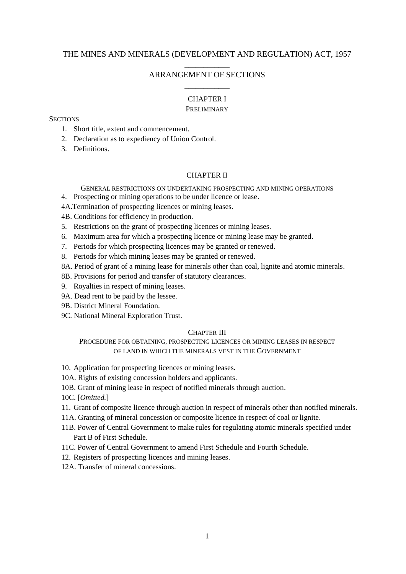# THE MINES AND MINERALS (DEVELOPMENT AND REGULATION) ACT, 1957

# \_\_\_\_\_\_\_\_\_\_\_\_ ARRANGEMENT OF SECTIONS \_\_\_\_\_\_\_\_\_\_\_\_

### CHAPTER I

### **PRELIMINARY**

# **SECTIONS**

- 1. Short title, extent and commencement.
- 2. Declaration as to expediency of Union Control.
- 3. Definitions.

# CHAPTER II

GENERAL RESTRICTIONS ON UNDERTAKING PROSPECTING AND MINING OPERATIONS

- 4. Prospecting or mining operations to be under licence or lease.
- 4A.Termination of prospecting licences or mining leases.

4B. Conditions for efficiency in production.

- 5. Restrictions on the grant of prospecting licences or mining leases.
- 6. Maximum area for which a prospecting licence or mining lease may be granted.
- 7. Periods for which prospecting licences may be granted or renewed.
- 8. Periods for which mining leases may be granted or renewed.
- 8A. Period of grant of a mining lease for minerals other than coal, lignite and atomic minerals.
- 8B. Provisions for period and transfer of statutory clearances.
- 9. Royalties in respect of mining leases.
- 9A. Dead rent to be paid by the lessee.
- 9B. District Mineral Foundation.
- 9C. National Mineral Exploration Trust.

# CHAPTER III

PROCEDURE FOR OBTAINING, PROSPECTING LICENCES OR MINING LEASES IN RESPECT OF LAND IN WHICH THE MINERALS VEST IN THE GOVERNMENT

10. Application for prospecting licences or mining leases.

- 10A. Rights of existing concession holders and applicants.
- 10B. Grant of mining lease in respect of notified minerals through auction.

10C. [*Omitted.*]

- 11. Grant of composite licence through auction in respect of minerals other than notified minerals.
- 11A. Granting of mineral concession or composite licence in respect of coal or lignite.
- 11B. Power of Central Government to make rules for regulating atomic minerals specified under Part B of First Schedule.
- 11C. Power of Central Government to amend First Schedule and Fourth Schedule.
- 12. Registers of prospecting licences and mining leases.
- 12A. Transfer of mineral concessions.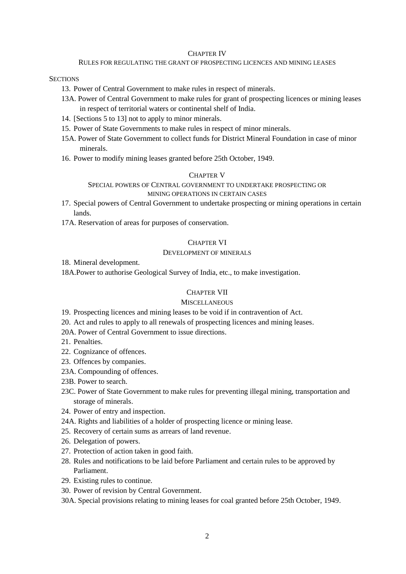#### CHAPTER IV

### RULES FOR REGULATING THE GRANT OF PROSPECTING LICENCES AND MINING LEASES

# **SECTIONS**

- 13. Power of Central Government to make rules in respect of minerals.
- 13A. Power of Central Government to make rules for grant of prospecting licences or mining leases in respect of territorial waters or continental shelf of India.
- 14. [Sections 5 to 13] not to apply to minor minerals.
- 15. Power of State Governments to make rules in respect of minor minerals.
- 15A. Power of State Government to collect funds for District Mineral Foundation in case of minor minerals.
- 16. Power to modify mining leases granted before 25th October, 1949.

# CHAPTER V

# SPECIAL POWERS OF CENTRAL GOVERNMENT TO UNDERTAKE PROSPECTING OR MINING OPERATIONS IN CERTAIN CASES

- 17. Special powers of Central Government to undertake prospecting or mining operations in certain lands.
- 17A. Reservation of areas for purposes of conservation.

### CHAPTER VI

## DEVELOPMENT OF MINERALS

### 18. Mineral development.

18A.Power to authorise Geological Survey of India, etc., to make investigation.

### CHAPTER VII

# **MISCELLANEOUS**

- 19. Prospecting licences and mining leases to be void if in contravention of Act.
- 20. Act and rules to apply to all renewals of prospecting licences and mining leases.
- 20A. Power of Central Government to issue directions.
- 21. Penalties.
- 22. Cognizance of offences.
- 23. Offences by companies.
- 23A. Compounding of offences.
- 23B. Power to search.
- 23C. Power of State Government to make rules for preventing illegal mining, transportation and storage of minerals.
- 24. Power of entry and inspection.
- 24A. Rights and liabilities of a holder of prospecting licence or mining lease.
- 25. Recovery of certain sums as arrears of land revenue.
- 26. Delegation of powers.
- 27. Protection of action taken in good faith.
- 28. Rules and notifications to be laid before Parliament and certain rules to be approved by Parliament.
- 29. Existing rules to continue.
- 30. Power of revision by Central Government.
- 30A. Special provisions relating to mining leases for coal granted before 25th October, 1949.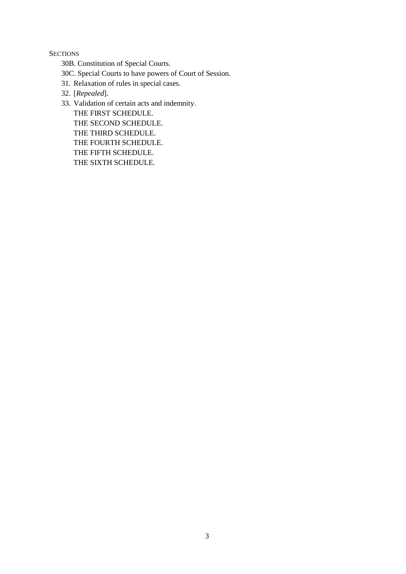**SECTIONS** 

30B. Constitution of Special Courts.

30C. Special Courts to have powers of Court of Session.

- 31. Relaxation of rules in special cases.
- 32. [*Repealed*].

33. Validation of certain acts and indemnity. THE FIRST SCHEDULE. THE SECOND SCHEDULE. THE THIRD SCHEDULE. THE FOURTH SCHEDULE. THE FIFTH SCHEDULE. THE SIXTH SCHEDULE.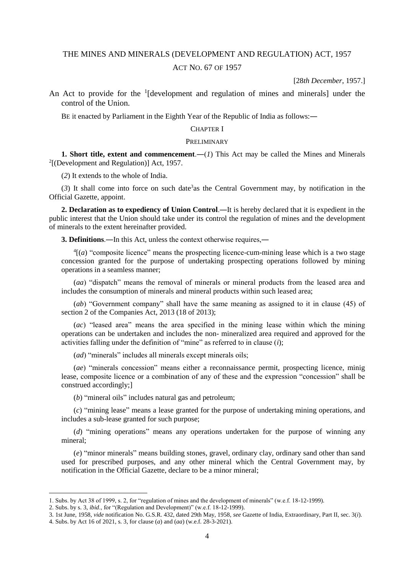# THE MINES AND MINERALS (DEVELOPMENT AND REGULATION) ACT, 1957 ACT NO. 67 OF 1957

[28*th December*, 1957.]

An Act to provide for the  $1$ [development and regulation of mines and minerals] under the control of the Union.

BE it enacted by Parliament in the Eighth Year of the Republic of India as follows:―

#### CHAPTER I

### PRELIMINARY

**1. Short title, extent and commencement.—** $(I)$  **This Act may be called the Mines and Minerals** 2 [(Development and Regulation)] Act, 1957.

(*2*) It extends to the whole of India.

 $(3)$  It shall come into force on such date<sup>3</sup> as the Central Government may, by notification in the Official Gazette, appoint.

**2. Declaration as to expediency of Union Control**.―It is hereby declared that it is expedient in the public interest that the Union should take under its control the regulation of mines and the development of minerals to the extent hereinafter provided.

**3. Definitions**.―In this Act, unless the context otherwise requires,―

 $<sup>4</sup>$ [(*a*) "composite licence" means the prospecting licence-cum-mining lease which is a two stage</sup> concession granted for the purpose of undertaking prospecting operations followed by mining operations in a seamless manner;

(*aa*) "dispatch" means the removal of minerals or mineral products from the leased area and includes the consumption of minerals and mineral products within such leased area;

(*ab*) "Government company" shall have the same meaning as assigned to it in clause (45) of section 2 of the Companies Act, 2013 (18 of 2013);

(*ac*) "leased area" means the area specified in the mining lease within which the mining operations can be undertaken and includes the non- mineralized area required and approved for the activities falling under the definition of "mine" as referred to in clause (*i*);

(*ad*) "minerals" includes all minerals except minerals oils;

(*ae*) "minerals concession" means either a reconnaissance permit, prospecting licence, minig lease, composite licence or a combination of any of these and the expression "concession" shall be construed accordingly;]

(*b*) "mineral oils" includes natural gas and petroleum;

(*c*) "mining lease" means a lease granted for the purpose of undertaking mining operations, and includes a sub-lease granted for such purpose;

(*d*) "mining operations" means any operations undertaken for the purpose of winning any mineral;

(*e*) "minor minerals" means building stones, gravel, ordinary clay, ordinary sand other than sand used for prescribed purposes, and any other mineral which the Central Government may, by notification in the Official Gazette, declare to be a minor mineral;

<sup>1.</sup> Subs. by Act 38 of 1999, s. 2, for "regulation of mines and the development of minerals" (w.e.f. 18-12-1999).

<sup>2.</sup> Subs. by s. 3, *ibid*., for "(Regulation and Development)" (w.e.f. 18-12-1999).

<sup>3. 1</sup>st June, 1958, *vide* notification No. G.S.R. 432, dated 29th May, 1958, *see* Gazette of India, Extraordinary, Part II, sec. 3(*i*).

<sup>4.</sup> Subs. by Act 16 of 2021, s. 3, for clause (*a*) and (*aa*) (w.e.f. 28-3-2021).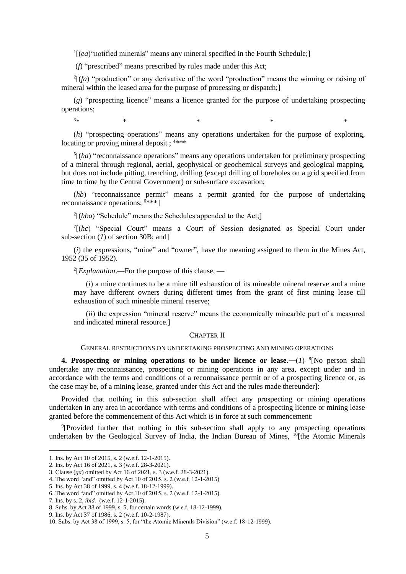<sup>1</sup>[(ea)"notified minerals" means any mineral specified in the Fourth Schedule;]

(*f*) "prescribed" means prescribed by rules made under this Act;

 $2[(fa)$  "production" or any derivative of the word "production" means the winning or raising of mineral within the leased area for the purpose of processing or dispatch;]

(*g*) "prospecting licence" means a licence granted for the purpose of undertaking prospecting operations;

(*h*) "prospecting operations" means any operations undertaken for the purpose of exploring, locating or proving mineral deposit ;  $4***$ 

 $3*$  \* \* \* \* \*

<sup>5</sup>[(ha) "reconnaissance operations" means any operations undertaken for preliminary prospecting of a mineral through regional, aerial, geophysical or geochemical surveys and geological mapping, but does not include pitting, trenching, drilling (except drilling of boreholes on a grid specified from time to time by the Central Government) or sub-surface excavation;

(*hb*) "reconnaissance permit" means a permit granted for the purpose of undertaking reconnaissance operations;  $6***1$ 

 $2[(hba)$  "Schedule" means the Schedules appended to the Act;

7 [(*hc*) "Special Court" means a Court of Session designated as Special Court under sub-section (*1*) of section 30B; and]

(*i*) the expressions, "mine" and "owner", have the meaning assigned to them in the Mines Act, 1952 (35 of 1952).

2 [*Explanation*.—For the purpose of this clause, —

(*i*) a mine continues to be a mine till exhaustion of its mineable mineral reserve and a mine may have different owners during different times from the grant of first mining lease till exhaustion of such mineable mineral reserve;

(*ii*) the expression "mineral reserve" means the economically minearble part of a measured and indicated mineral resource.]

#### CHAPTER II

### GENERAL RESTRICTIONS ON UNDERTAKING PROSPECTING AND MINING OPERATIONS

**4. Prospecting or mining operations to be under licence or lease.** $-(1)^{8}$ **[No person shall** undertake any reconnaissance, prospecting or mining operations in any area, except under and in accordance with the terms and conditions of a reconnaissance permit or of a prospecting licence or, as the case may be, of a mining lease, granted under this Act and the rules made thereunder]:

Provided that nothing in this sub-section shall affect any prospecting or mining operations undertaken in any area in accordance with terms and conditions of a prospecting licence or mining lease granted before the commencement of this Act which is in force at such commencement:

<sup>9</sup>[Provided further that nothing in this sub-section shall apply to any prospecting operations undertaken by the Geological Survey of India, the Indian Bureau of Mines, <sup>10</sup>[the Atomic Minerals

<sup>1.</sup> Ins. by Act 10 of 2015, s. 2 (w.e.f. 12-1-2015).

<sup>2.</sup> Ins. by Act 16 of 2021, s. 3 (w.e.f. 28-3-2021).

<sup>3.</sup> Clause (*ga*) omitted by Act 16 of 2021, s. 3 (w.e.f. 28-3-2021).

<sup>4.</sup> The word "and" omitted by Act 10 of 2015, s. 2 (w.e.f. 12-1-2015)

<sup>5.</sup> Ins. by Act 38 of 1999, s. 4 (w.e.f. 18-12-1999).

<sup>6.</sup> The word "and" omitted by Act 10 of 2015, s. 2 (w.e.f. 12-1-2015).

<sup>7.</sup> Ins. by s. 2, *ibid.* (w.e.f. 12-1-2015).

<sup>8.</sup> Subs. by Act 38 of 1999, s. 5, for certain words (w.e.f. 18-12-1999).

<sup>9.</sup> Ins. by Act 37 of 1986, s. 2 (w.e.f. 10-2-1987).

<sup>10.</sup> Subs. by Act 38 of 1999, s. 5, for "the Atomic Minerals Division" (w.e.f. 18-12-1999).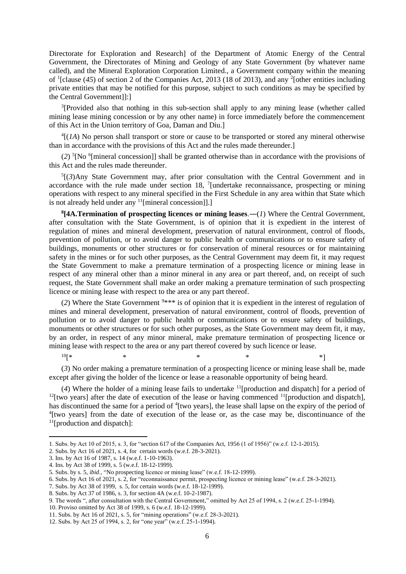Directorate for Exploration and Research] of the Department of Atomic Energy of the Central Government, the Directorates of Mining and Geology of any State Government (by whatever name called), and the Mineral Exploration Corporation Limited., a Government company within the meaning of <sup>1</sup>[clause (45) of section 2 of the Companies Act, 2013 (18 of 2013), and any <sup>2</sup>[other entities including private entities that may be notified for this purpose, subject to such conditions as may be specified by the Central Government]]:]

<sup>3</sup>[Provided also that nothing in this sub-section shall apply to any mining lease (whether called mining lease mining concession or by any other name) in force immediately before the commencement of this Act in the Union territory of Goa, Daman and Diu.]

 $^{4}$ [(*1A*) No person shall transport or store or cause to be transported or stored any mineral otherwise than in accordance with the provisions of this Act and the rules made thereunder.]

 $(2)$ <sup>5</sup>[No <sup>6</sup>[mineral concession]] shall be granted otherwise than in accordance with the provisions of this Act and the rules made thereunder.

 ${}^5$ [(3)Any State Government may, after prior consultation with the Central Government and in accordance with the rule made under section 18,  $\frac{7}{1}$  undertake reconnaissance, prospecting or mining operations with respect to any mineral specified in the First Schedule in any area within that State which is not already held under any <sup>11</sup>[mineral concession]].]

**8 [4A.Termination of prospecting licences or mining leases**.―(*1*) Where the Central Government, after consultation with the State Government, is of opinion that it is expedient in the interest of regulation of mines and mineral development, preservation of natural environment, control of floods, prevention of pollution, or to avoid danger to public health or communications or to ensure safety of buildings, monuments or other structures or for conservation of mineral resources or for maintaining safety in the mines or for such other purposes, as the Central Government may deem fit, it may request the State Government to make a premature termination of a prospecting licence or mining lease in respect of any mineral other than a minor mineral in any area or part thereof, and, on receipt of such request, the State Government shall make an order making a premature termination of such prospecting licence or mining lease with respect to the area or any part thereof.

(2) Where the State Government  $9***$  is of opinion that it is expedient in the interest of regulation of mines and mineral development, preservation of natural environment, control of floods, prevention of pollution or to avoid danger to public health or communications or to ensure safety of buildings, monuments or other structures or for such other purposes, as the State Government may deem fit, it may, by an order, in respect of any minor mineral, make premature termination of prospecting licence or mining lease with respect to the area or any part thereof covered by such licence or lease.

 $10[$ \* \* \* \* \* \* \* \* \*

(*3*) No order making a premature termination of a prospecting licence or mining lease shall be, made except after giving the holder of the licence or lease a reasonable opportunity of being heard.

(*4*) Where the holder of a mining lease fails to undertake <sup>11</sup>[production and dispatch] for a period of  $12$ [two years] after the date of execution of the lease or having commenced  $11$ [production and dispatch], has discontinued the same for a period of <sup>4</sup>[two years], the lease shall lapse on the expiry of the period of <sup>4</sup>[two years] from the date of execution of the lease or, as the case may be, discontinuance of the <sup>11</sup>[production and dispatch]:

<sup>1.</sup> Subs. by Act 10 of 2015, s. 3, for "section 617 of the Companies Act, 1956 (1 of 1956)" (w.e.f. 12-1-2015).

<sup>2.</sup> Subs. by Act 16 of 2021, s. 4, for certain words (w.e.f. 28-3-2021).

<sup>3.</sup> Ins. by Act 16 of 1987, s. 14 (w.e.f. 1-10-1963).

<sup>4.</sup> Ins. by Act 38 of 1999, s. 5 (w.e.f. 18-12-1999).

<sup>5.</sup> Subs. by s. 5, *ibid*., "No prospecting licence or mining lease" (w.e.f. 18-12-1999).

<sup>6.</sup> Subs. by Act 16 of 2021, s. 2, for "reconnaissance permit, prospecting licence or mining lease" (w.e.f. 28-3-2021).

<sup>7.</sup> Subs. by Act 38 of 1999, s. 5, for certain words (w.e.f. 18-12-1999).

<sup>8.</sup> Subs. by Act 37 of 1986, s. 3, for section 4A (w.e.f. 10-2-1987).

<sup>9.</sup> The words ", after consultation with the Central Government," omitted by Act 25 of 1994, s. 2 (w.e.f. 25-1-1994).

<sup>10.</sup> Proviso omitted by Act 38 of 1999, s. 6 (w.e.f. 18-12-1999).

<sup>11.</sup> Subs. by Act 16 of 2021, s. 5, for "mining operations" (w.e.f. 28-3-2021).

<sup>12.</sup> Subs. by Act 25 of 1994, s. 2, for "one year" (w.e.f. 25-1-1994).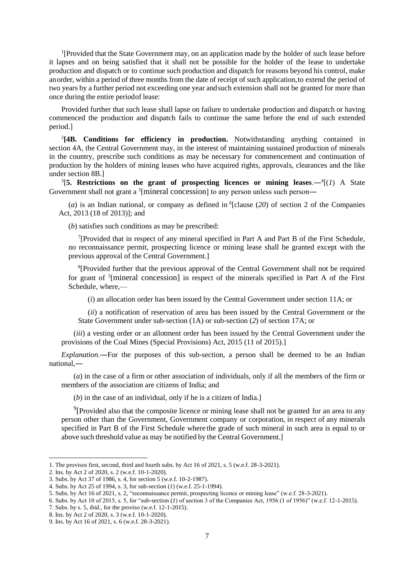<sup>1</sup>[Provided that the State Government may, on an application made by the holder of such lease before it lapses and on being satisfied that it shall not be possible for the holder of the lease to undertake production and dispatch or to continue such production and dispatch for reasons beyond his control, make anorder, within a period of three months from the date of receipt of such application,to extend the period of two years by a further period not exceeding one year andsuch extension shall not be granted for more than once during the entire periodof lease:

Provided further that such lease shall lapse on failure to undertake production and dispatch or having commenced the production and dispatch fails to continue the same before the end of such extended period.]

2 **[4B. Conditions for efficiency in production.** Notwithstanding anything contained in section 4A, the Central Government may, in the interest of maintaining sustained production of minerals in the country, prescribe such conditions as may be necessary for commencement and continuation of production by the holders of mining leases who have acquired rights, approvals, clearances and the like under section 8B.]

<sup>3</sup>[5. Restrictions on the grant of prospecting licences or mining leases.— $\frac{4}{1}$ (1) A State Government shall not grant a <sup>5</sup>[mineral concession] to any person unless such person—

 $(a)$  is an Indian national, or company as defined in <sup>6</sup>[clause  $(20)$  of section 2 of the Companies Act, 2013 (18 of 2013)]; and

(*b*) satisfies such conditions as may be prescribed:

<sup>7</sup>[Provided that in respect of any mineral specified in Part A and Part B of the First Schedule, no reconnaissance permit, prospecting licence or mining lease shall be granted except with the previous approval of the Central Government.]

<sup>8</sup>[Provided further that the previous approval of the Central Government shall not be required for grant of <sup>5</sup>[mineral concession] in respect of the minerals specified in Part A of the First Schedule, where,—

(*i*) an allocation order has been issued by the Central Government under section 11A; or

(*ii*) a notification of reservation of area has been issued by the Central Government or the State Government under sub-section (1A) or sub-section (*2*) of section 17A; or

(*iii*) a vesting order or an allotment order has been issued by the Central Government under the provisions of the Coal Mines (Special Provisions) Act, 2015 (11 of 2015).]

*Explanation*.―For the purposes of this sub-section, a person shall be deemed to be an Indian national,―

(*a*) in the case of a firm or other association of individuals, only if all the members of the firm or members of the association are citizens of India; and

(*b*) in the case of an individual, only if he is a citizen of India.]

 $9$ [Provided also that the composite licence or mining lease shall not be granted for an area to any person other than the Government, Government company or corporation, in respect of any minerals specified in Part B of the First Schedule where the grade of such mineral in such area is equal to or above such threshold value as may be notified by the Central Government.]

<sup>1.</sup> The provisos first, second, third and fourth subs. by Act 16 of 2021, s. 5 (w.e.f. 28-3-2021).

<sup>2.</sup> Ins. by Act 2 of 2020, s. 2 (w.e.f. 10-1-2020).

<sup>3.</sup> Subs. by Act 37 of 1986, s. 4, for section 5 (w.e.f. 10-2-1987).

<sup>4.</sup> Subs. by Act 25 of 1994, s. 3, for sub-section (*1*) (w.e.f. 25-1-1994).

<sup>5.</sup> Subs. by Act 16 of 2021, s. 2, "reconnaissance permit, prospecting licence or mining lease" (w.e.f. 28-3-2021).

<sup>6.</sup> Subs. by Act 10 of 2015, s. 5, for "sub-section (*1*) of section 3 of the Companies Act, 1956 (1 of 1956)" (w.e.f. 12-1-2015).

<sup>7.</sup> Subs. by s. 5, *ibid*., for the proviso (w.e.f. 12-1-2015).

<sup>8.</sup> Ins. by Act 2 of 2020, s. 3 (w.e.f. 10-1-2020).

<sup>9.</sup> Ins. by Act 16 of 2021, s. 6 (w.e.f. 28-3-2021).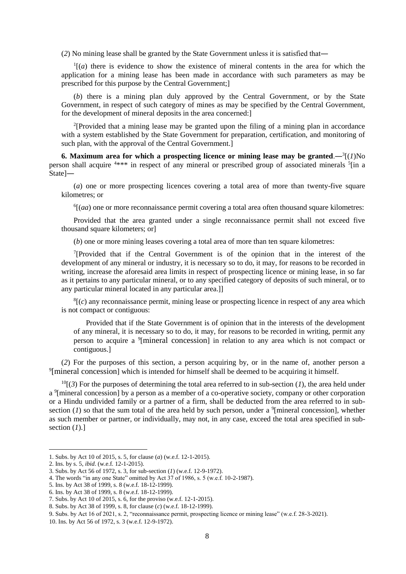(*2*) No mining lease shall be granted by the State Government unless it is satisfied that―

 $\frac{1}{a}$  (*a*) there is evidence to show the existence of mineral contents in the area for which the application for a mining lease has been made in accordance with such parameters as may be prescribed for this purpose by the Central Government;]

(*b*) there is a mining plan duly approved by the Central Government, or by the State Government, in respect of such category of mines as may be specified by the Central Government, for the development of mineral deposits in the area concerned:]

<sup>2</sup>[Provided that a mining lease may be granted upon the filing of a mining plan in accordance with a system established by the State Government for preparation, certification, and monitoring of such plan, with the approval of the Central Government.]

**6.** Maximum area for which a prospecting licence or mining lease may be granted. $-\frac{3}{4}(1)$ No person shall acquire <sup>4\*\*\*</sup> in respect of any mineral or prescribed group of associated minerals <sup>5</sup>[in a State]―

(*a*) one or more prospecting licences covering a total area of more than twenty-five square kilometres; or

<sup>6</sup>[(*aa*) one or more reconnaissance permit covering a total area often thousand square kilometres:

Provided that the area granted under a single reconnaissance permit shall not exceed five thousand square kilometers; or]

(*b*) one or more mining leases covering a total area of more than ten square kilometres:

<sup>7</sup>[Provided that if the Central Government is of the opinion that in the interest of the development of any mineral or industry, it is necessary so to do, it may, for reasons to be recorded in writing, increase the aforesaid area limits in respect of prospecting licence or mining lease, in so far as it pertains to any particular mineral, or to any specified category of deposits of such mineral, or to any particular mineral located in any particular area.]]

 ${}^{8}$ [(*c*) any reconnaissance permit, mining lease or prospecting licence in respect of any area which is not compact or contiguous:

Provided that if the State Government is of opinion that in the interests of the development of any mineral, it is necessary so to do, it may, for reasons to be recorded in writing, permit any person to acquire a <sup>9</sup>[mineral concession] in relation to any area which is not compact or contiguous.]

(*2*) For the purposes of this section, a person acquiring by, or in the name of, another person a <sup>9</sup>[mineral concession] which is intended for himself shall be deemed to be acquiring it himself.

 $10[(3)$  For the purposes of determining the total area referred to in sub-section (*1*), the area held under a <sup>9</sup>[mineral concession] by a person as a member of a co-operative society, company or other corporation or a Hindu undivided family or a partner of a firm, shall be deducted from the area referred to in subsection (*1*) so that the sum total of the area held by such person, under a <sup>9</sup>[mineral concession], whether as such member or partner, or individually, may not, in any case, exceed the total area specified in subsection (*1*).]

<sup>1.</sup> Subs. by Act 10 of 2015, s. 5, for clause (*a*) (w.e.f. 12-1-2015).

<sup>2.</sup> Ins. by s. 5, *ibid*. (w.e.f. 12-1-2015).

<sup>3.</sup> Subs. by Act 56 of 1972, s. 3, for sub-section (*1*) (w.e.f. 12-9-1972).

<sup>4.</sup> The words "in any one State" omitted by Act 37 of 1986, s. 5 (w.e.f. 10-2-1987).

<sup>5.</sup> Ins. by Act 38 of 1999, s. 8 (w.e.f. 18-12-1999).

<sup>6.</sup> Ins. by Act 38 of 1999, s. 8 (w.e.f. 18-12-1999).

<sup>7.</sup> Subs. by Act 10 of 2015, s. 6, for the proviso (w.e.f. 12-1-2015).

<sup>8.</sup> Subs. by Act 38 of 1999, s. 8, for clause (*c*) (w.e.f. 18-12-1999).

<sup>9</sup>. Subs. by Act 16 of 2021, s. 2, "reconnaissance permit, prospecting licence or mining lease" (w.e.f. 28-3-2021).

<sup>10.</sup> Ins. by Act 56 of 1972, s. 3 (w.e.f. 12-9-1972).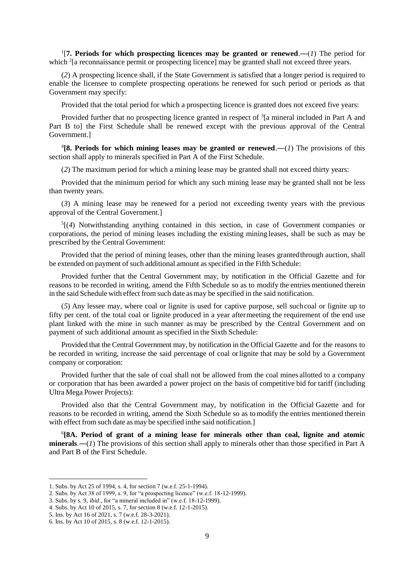<sup>1</sup>[7. Periods for which prospecting licences may be granted or renewed.—(*1*) The period for which <sup>2</sup>[a reconnaissance permit or prospecting licence] may be granted shall not exceed three years.

(*2*) A prospecting licence shall, if the State Government is satisfied that a longer period is required to enable the licensee to complete prospecting operations be renewed for such period or periods as that Government may specify:

Provided that the total period for which a prospecting licence is granted does not exceed five years:

Provided further that no prospecting licence granted in respect of  ${}^{3}$ [a mineral included in Part A and Part B to] the First Schedule shall be renewed except with the previous approval of the Central Government.]

<sup>4</sup>[8. Periods for which mining leases may be granted or renewed.— $(1)$  The provisions of this section shall apply to minerals specified in Part A of the First Schedule.

(*2*) The maximum period for which a mining lease may be granted shall not exceed thirty years:

Provided that the minimum period for which any such mining lease may be granted shall not be less than twenty years.

(*3*) A mining lease may be renewed for a period not exceeding twenty years with the previous approval of the Central Government.]

5 [(*4*) Notwithstanding anything contained in this section, in case of Government companies or corporations, the period of mining leases including the existing mining leases, shall be such as may be prescribed by the Central Government:

Provided that the period of mining leases, other than the mining leases grantedthrough auction, shall be extended on payment of such additional amount as specified in the Fifth Schedule:

Provided further that the Central Government may, by notification in the Official Gazette and for reasons to be recorded in writing, amend the Fifth Schedule so as to modify the entries mentioned therein in the said Schedule with effect from such date as may be specified in the said notification.

(*5*) Any lessee may, where coal or lignite is used for captive purpose, sell suchcoal or lignite up to fifty per cent. of the total coal or lignite produced in a year aftermeeting the requirement of the end use plant linked with the mine in such manner as may be prescribed by the Central Government and on payment of such additional amount as specified in the Sixth Schedule:

Provided that the Central Government may, by notification in the Official Gazette and for the reasons to be recorded in writing, increase the said percentage of coal orlignite that may be sold by a Government company or corporation:

Provided further that the sale of coal shall not be allowed from the coal mines allotted to a company or corporation that has been awarded a power project on the basis of competitive bid for tariff (including Ultra Mega Power Projects):

Provided also that the Central Government may, by notification in the Official Gazette and for reasons to be recorded in writing, amend the Sixth Schedule so as tomodify the entries mentioned therein with effect from such date as may be specified in the said notification.

6 **[8A. Period of grant of a mining lease for minerals other than coal, lignite and atomic minerals**.―(*1*) The provisions of this section shall apply to minerals other than those specified in Part A and Part B of the First Schedule.

<sup>1.</sup> Subs. by Act 25 of 1994, s. 4, for section 7 (w.e.f. 25-1-1994).

<sup>2.</sup> Subs. by Act 38 of 1999, s. 9, for "a prospecting licence" (w.e.f. 18-12-1999).

<sup>3.</sup> Subs. by s. 9, *ibid*., for "a mineral included in" (w.e.f. 18-12-1999).

<sup>4.</sup> Subs. by Act 10 of 2015, s. 7, for section 8 (w.e.f. 12-1-2015).

<sup>5.</sup> Ins. by Act 16 of 2021, s. 7 (w.e.f. 28-3-2021).

<sup>6.</sup> Ins. by Act 10 of 2015, s. 8 (w.e.f. 12-1-2015).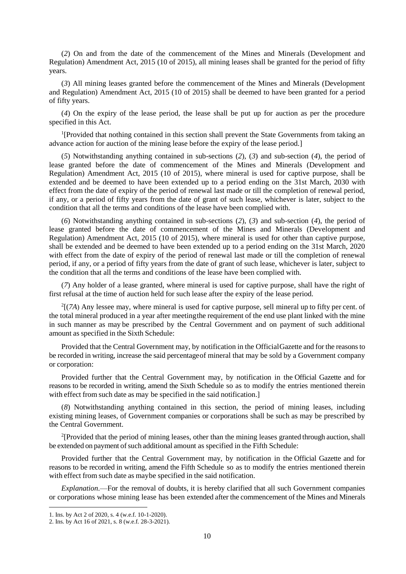(*2*) On and from the date of the commencement of the Mines and Minerals (Development and Regulation) Amendment Act, 2015 (10 of 2015), all mining leases shall be granted for the period of fifty years.

(*3*) All mining leases granted before the commencement of the Mines and Minerals (Development and Regulation) Amendment Act, 2015 (10 of 2015) shall be deemed to have been granted for a period of fifty years.

(*4*) On the expiry of the lease period, the lease shall be put up for auction as per the procedure specified in this Act.

<sup>1</sup>[Provided that nothing contained in this section shall prevent the State Governments from taking an advance action for auction of the mining lease before the expiry of the lease period.]

(*5*) Notwithstanding anything contained in sub-sections (*2*), (*3*) and sub-section (*4*), the period of lease granted before the date of commencement of the Mines and Minerals (Development and Regulation) Amendment Act, 2015 (10 of 2015), where mineral is used for captive purpose, shall be extended and be deemed to have been extended up to a period ending on the 31st March, 2030 with effect from the date of expiry of the period of renewal last made or till the completion of renewal period, if any, or a period of fifty years from the date of grant of such lease, whichever is later, subject to the condition that all the terms and conditions of the lease have been complied with.

(*6*) Notwithstanding anything contained in sub-sections (*2*), (*3*) and sub-section (*4*), the period of lease granted before the date of commencement of the Mines and Minerals (Development and Regulation) Amendment Act, 2015 (10 of 2015), where mineral is used for other than captive purpose, shall be extended and be deemed to have been extended up to a period ending on the 31st March, 2020 with effect from the date of expiry of the period of renewal last made or till the completion of renewal period, if any, or a period of fifty years from the date of grant of such lease, whichever is later, subject to the condition that all the terms and conditions of the lease have been complied with.

(*7*) Any holder of a lease granted, where mineral is used for captive purpose, shall have the right of first refusal at the time of auction held for such lease after the expiry of the lease period.

 $2[(7A)$  Any lessee may, where mineral is used for captive purpose, sell mineral up to fifty per cent. of the total mineral produced in a year after meetingthe requirement of the end use plant linked with the mine in such manner as may be prescribed by the Central Government and on payment of such additional amount as specified in the Sixth Schedule:

Provided that the Central Government may, by notification in the OfficialGazette and for the reasonsto be recorded in writing, increase the said percentageof mineral that may be sold by a Government company or corporation:

Provided further that the Central Government may, by notification in the Official Gazette and for reasons to be recorded in writing, amend the Sixth Schedule so as to modify the entries mentioned therein with effect from such date as may be specified in the said notification.

(*8*) Notwithstanding anything contained in this section, the period of mining leases, including existing mining leases, of Government companies or corporations shall be such as may be prescribed by the Central Government.

<sup>2</sup>[Provided that the period of mining leases, other than the mining leases granted through auction, shall be extended on payment of such additional amount as specified in the Fifth Schedule:

Provided further that the Central Government may, by notification in the Official Gazette and for reasons to be recorded in writing, amend the Fifth Schedule so as to modify the entries mentioned therein with effect from such date as maybe specified in the said notification.

*Explanation*.—For the removal of doubts, it is hereby clarified that all such Government companies or corporations whose mining lease has been extended after the commencement of the Mines and Minerals

<sup>1.</sup> Ins. by Act 2 of 2020, s. 4 (w.e.f. 10-1-2020).

<sup>2.</sup> Ins. by Act 16 of 2021, s. 8 (w.e.f. 28-3-2021).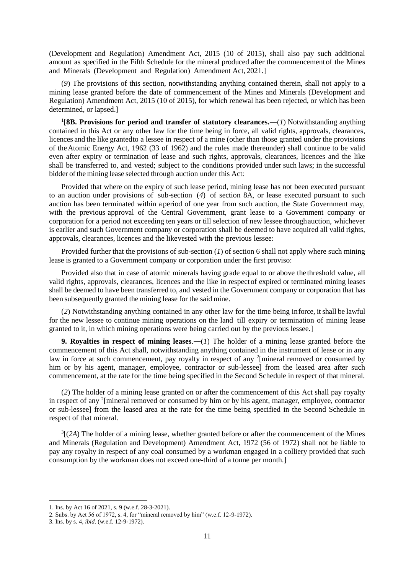(Development and Regulation) Amendment Act, 2015 (10 of 2015), shall also pay such additional amount as specified in the Fifth Schedule for the mineral produced after the commencement of the Mines and Minerals (Development and Regulation) Amendment Act, 2021.]

(*9*) The provisions of this section, notwithstanding anything contained therein, shall not apply to a mining lease granted before the date of commencement of the Mines and Minerals (Development and Regulation) Amendment Act, 2015 (10 of 2015), for which renewal has been rejected, or which has been determined, or lapsed.]

<sup>1</sup>[8B. Provisions for period and transfer of statutory clearances.— $(1)$  Notwithstanding anything contained in this Act or any other law for the time being in force, all valid rights, approvals, clearances, licences and the like grantedto a lessee in respect of a mine (other than those granted under the provisions of theAtomic Energy Act, 1962 (33 of 1962) and the rules made thereunder) shall continue to be valid even after expiry or termination of lease and such rights, approvals, clearances, licences and the like shall be transferred to, and vested; subject to the conditions provided under such laws; in the successful bidder of the mining lease selected through auction under this Act:

Provided that where on the expiry of such lease period, mining lease has not been executed pursuant to an auction under provisions of sub-section (*4*) of section 8A, or lease executed pursuant to such auction has been terminated within a period of one year from such auction, the State Government may, with the previous approval of the Central Government, grant lease to a Government company or corporation for a period not exceeding ten years or till selection of new lessee throughauction, whichever is earlier and such Government company or corporation shall be deemed to have acquired all valid rights, approvals, clearances, licences and the likevested with the previous lessee:

Provided further that the provisions of sub-section (*1*) of section 6 shall not apply where such mining lease is granted to a Government company or corporation under the first proviso:

Provided also that in case of atomic minerals having grade equal to or above the threshold value, all valid rights, approvals, clearances, licences and the like in respect of expired or terminated mining leases shall be deemed to have been transferred to, and vested in the Government company or corporation that has been subsequently granted the mining lease for the said mine.

(*2*) Notwithstanding anything contained in any other law for the time being inforce, it shall be lawful for the new lessee to continue mining operations on the land till expiry or termination of mining lease granted to it, in which mining operations were being carried out by the previous lessee.]

**9. Royalties in respect of mining leases**.―(*1*) The holder of a mining lease granted before the commencement of this Act shall, notwithstanding anything contained in the instrument of lease or in any law in force at such commencement, pay royalty in respect of any  $2$ [mineral removed or consumed by him or by his agent, manager, employee, contractor or sub-lesseel from the leased area after such commencement, at the rate for the time being specified in the Second Schedule in respect of that mineral.

(*2*) The holder of a mining lease granted on or after the commencement of this Act shall pay royalty in respect of any <sup>2</sup>[mineral removed or consumed by him or by his agent, manager, employee, contractor or sub-lessee] from the leased area at the rate for the time being specified in the Second Schedule in respect of that mineral.

 $3$ [(2A) The holder of a mining lease, whether granted before or after the commencement of the Mines and Minerals (Regulation and Development) Amendment Act, 1972 (56 of 1972) shall not be liable to pay any royalty in respect of any coal consumed by a workman engaged in a colliery provided that such consumption by the workman does not exceed one-third of a tonne per month.]

<sup>1.</sup> Ins. by Act 16 of 2021, s. 9 (w.e.f. 28-3-2021).

<sup>2.</sup> Subs. by Act 56 of 1972, s. 4, for "mineral removed by him" (w.e.f. 12-9-1972).

<sup>3.</sup> Ins. by s. 4, *ibid*. (w.e.f. 12-9-1972).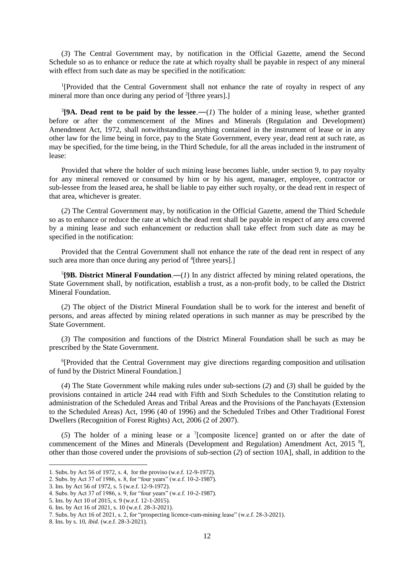(*3*) The Central Government may, by notification in the Official Gazette, amend the Second Schedule so as to enhance or reduce the rate at which royalty shall be payable in respect of any mineral with effect from such date as may be specified in the notification:

<sup>1</sup>[Provided that the Central Government shall not enhance the rate of royalty in respect of any mineral more than once during any period of  $2$ [three years].]

 ${}^{3}$ [9A. Dead rent to be paid by the lessee.—(1) The holder of a mining lease, whether granted before or after the commencement of the Mines and Minerals (Regulation and Development) Amendment Act, 1972, shall notwithstanding anything contained in the instrument of lease or in any other law for the lime being in force, pay to the State Government, every year, dead rent at such rate, as may be specified, for the time being, in the Third Schedule, for all the areas included in the instrument of lease:

Provided that where the holder of such mining lease becomes liable, under section 9, to pay royalty for any mineral removed or consumed by him or by his agent, manager, employee, contractor or sub-lessee from the leased area, he shall be liable to pay either such royalty, or the dead rent in respect of that area, whichever is greater.

(*2*) The Central Government may, by notification in the Official Gazette, amend the Third Schedule so as to enhance or reduce the rate at which the dead rent shall be payable in respect of any area covered by a mining lease and such enhancement or reduction shall take effect from such date as may be specified in the notification:

Provided that the Central Government shall not enhance the rate of the dead rent in respect of any such area more than once during any period of <sup>4</sup>[three years].]

 $5$ [9B. District Mineral Foundation.—(*1*) In any district affected by mining related operations, the State Government shall, by notification, establish a trust, as a non-profit body, to be called the District Mineral Foundation.

(*2*) The object of the District Mineral Foundation shall be to work for the interest and benefit of persons, and areas affected by mining related operations in such manner as may be prescribed by the State Government.

(*3*) The composition and functions of the District Mineral Foundation shall be such as may be prescribed by the State Government.

<sup>6</sup>[Provided that the Central Government may give directions regarding composition and utilisation of fund by the District Mineral Foundation.]

(*4*) The State Government while making rules under sub-sections (*2*) and (*3*) shall be guided by the provisions contained in article 244 read with Fifth and Sixth Schedules to the Constitution relating to administration of the Scheduled Areas and Tribal Areas and the Provisions of the Panchayats (Extension to the Scheduled Areas) Act, 1996 (40 of 1996) and the Scheduled Tribes and Other Traditional Forest Dwellers (Recognition of Forest Rights) Act, 2006 (2 of 2007).

(*5*) The holder of a mining lease or a <sup>7</sup> [composite licence] granted on or after the date of commencement of the Mines and Minerals (Development and Regulation) Amendment Act, 2015<sup>8</sup>[, other than those covered under the provisions of sub-section (*2*) of section 10A], shall, in addition to the

<sup>1.</sup> Subs. by Act 56 of 1972, s. 4, for the proviso (w.e.f. 12-9-1972).

<sup>2.</sup> Subs. by Act 37 of 1986, s. 8, for "four years" (w.e.f. 10-2-1987).

<sup>3.</sup> Ins. by Act 56 of 1972, s. 5 (w.e.f. 12-9-1972).

<sup>4.</sup> Subs. by Act 37 of 1986, s. 9, for "four years" (w.e.f. 10-2-1987).

<sup>5.</sup> Ins. by Act 10 of 2015, s. 9 (w.e.f. 12-1-2015).

<sup>6.</sup> Ins. by Act 16 of 2021, s. 10 (w.e.f. 28-3-2021).

<sup>7.</sup> Subs. by Act 16 of 2021, s. 2, for "prospecting licence-cum-mining lease" (w.e.f. 28-3-2021).

<sup>8.</sup> Ins. by s. 10, *ibid.* (w.e.f. 28-3-2021).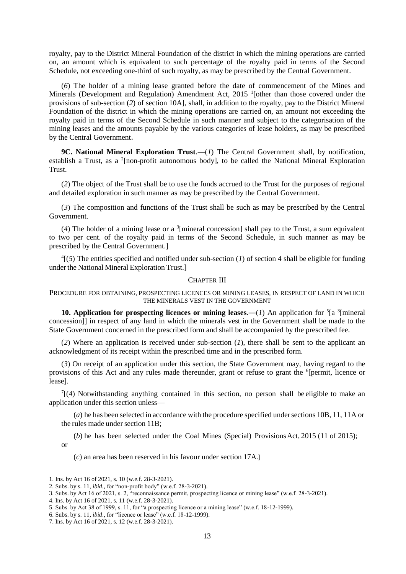royalty, pay to the District Mineral Foundation of the district in which the mining operations are carried on, an amount which is equivalent to such percentage of the royalty paid in terms of the Second Schedule, not exceeding one-third of such royalty, as may be prescribed by the Central Government.

(*6*) The holder of a mining lease granted before the date of commencement of the Mines and Minerals (Development and Regulation) Amendment Act, 2015<sup>1</sup> [other than those covered under the provisions of sub-section (*2*) of section 10A], shall, in addition to the royalty, pay to the District Mineral Foundation of the district in which the mining operations are carried on, an amount not exceeding the royalty paid in terms of the Second Schedule in such manner and subject to the categorisation of the mining leases and the amounts payable by the various categories of lease holders, as may be prescribed by the Central Government.

**9C. National Mineral Exploration Trust.—(1)** The Central Government shall, by notification, establish a Trust, as a <sup>2</sup>[non-profit autonomous body], to be called the National Mineral Exploration Trust.

(*2*) The object of the Trust shall be to use the funds accrued to the Trust for the purposes of regional and detailed exploration in such manner as may be prescribed by the Central Government.

(*3*) The composition and functions of the Trust shall be such as may be prescribed by the Central Government.

(*4*) The holder of a mining lease or a <sup>3</sup> [mineral concession] shall pay to the Trust, a sum equivalent to two per cent. of the royalty paid in terms of the Second Schedule, in such manner as may be prescribed by the Central Government.]

 $^{4}$ [(5) The entities specified and notified under sub-section (*1*) of section 4 shall be eligible for funding under the National Mineral Exploration Trust.]

# CHAPTER III

PROCEDURE FOR OBTAINING, PROSPECTING LICENCES OR MINING LEASES, IN RESPECT OF LAND IN WHICH THE MINERALS VEST IN THE GOVERNMENT

**10. Application for prospecting licences or mining leases.—(1) An application for**  ${}^{5}$ **[a**  ${}^{3}$ **[mineral]** concession]] in respect of any land in which the minerals vest in the Government shall be made to the State Government concerned in the prescribed form and shall be accompanied by the prescribed fee.

(*2*) Where an application is received under sub-section (*1*), there shall be sent to the applicant an acknowledgment of its receipt within the prescribed time and in the prescribed form.

(*3*) On receipt of an application under this section, the State Government may, having regard to the provisions of this Act and any rules made thereunder, grant or refuse to grant the <sup>6</sup>[permit, licence or lease].

 $T[(4)$  Notwithstanding anything contained in this section, no person shall be eligible to make an application under this section unless—

(*a*) he has been selected in accordance with the procedure specified under sections 10B, 11, 11A or the rules made under section 11B;

(*b*) he has been selected under the Coal Mines (Special) Provisions Act, 2015 (11 of 2015); or

(*c*) an area has been reserved in his favour under section 17A.]

<sup>1.</sup> Ins. by Act 16 of 2021, s. 10 (w.e.f. 28-3-2021).

<sup>2.</sup> Subs. by s. 11, *ibid.,* for "non-profit body" (w.e.f. 28-3-2021).

<sup>3.</sup> Subs. by Act 16 of 2021, s. 2, "reconnaissance permit, prospecting licence or mining lease" (w.e.f. 28-3-2021).

<sup>4.</sup> Ins. by Act 16 of 2021, s. 11 (w.e.f. 28-3-2021).

<sup>5.</sup> Subs. by Act 38 of 1999, s. 11, for "a prospecting licence or a mining lease" (w.e.f. 18-12-1999).

<sup>6.</sup> Subs. by s. 11, *ibid*., for "licence or lease" (w.e.f. 18-12-1999).

<sup>7.</sup> Ins. by Act 16 of 2021, s. 12 (w.e.f. 28-3-2021).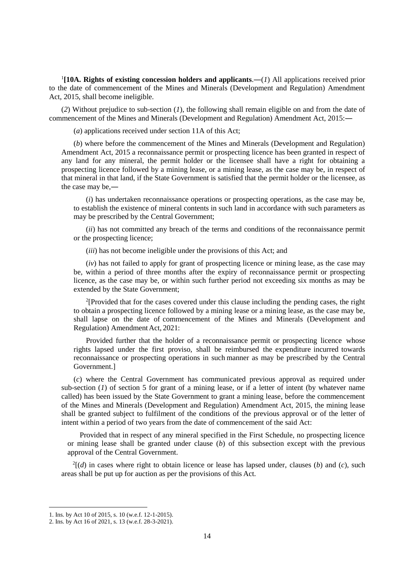<sup>1</sup>[10A. Rights of existing concession holders and applicants.— $(I)$  All applications received prior to the date of commencement of the Mines and Minerals (Development and Regulation) Amendment Act, 2015, shall become ineligible.

(*2*) Without prejudice to sub-section (*1*), the following shall remain eligible on and from the date of commencement of the Mines and Minerals (Development and Regulation) Amendment Act, 2015:―

(*a*) applications received under section 11A of this Act;

(*b*) where before the commencement of the Mines and Minerals (Development and Regulation) Amendment Act, 2015 a reconnaissance permit or prospecting licence has been granted in respect of any land for any mineral, the permit holder or the licensee shall have a right for obtaining a prospecting licence followed by a mining lease, or a mining lease, as the case may be, in respect of that mineral in that land, if the State Government is satisfied that the permit holder or the licensee, as the case may be,―

(*i*) has undertaken reconnaissance operations or prospecting operations, as the case may be, to establish the existence of mineral contents in such land in accordance with such parameters as may be prescribed by the Central Government;

(*ii*) has not committed any breach of the terms and conditions of the reconnaissance permit or the prospecting licence;

(*iii*) has not become ineligible under the provisions of this Act; and

(*iv*) has not failed to apply for grant of prospecting licence or mining lease, as the case may be, within a period of three months after the expiry of reconnaissance permit or prospecting licence, as the case may be, or within such further period not exceeding six months as may be extended by the State Government;

<sup>2</sup>[Provided that for the cases covered under this clause including the pending cases, the right to obtain a prospecting licence followed by a mining lease or a mining lease, as the case may be, shall lapse on the date of commencement of the Mines and Minerals (Development and Regulation) Amendment Act, 2021:

Provided further that the holder of a reconnaissance permit or prospecting licence whose rights lapsed under the first proviso, shall be reimbursed the expenditure incurred towards reconnaissance or prospecting operations in such manner as may be prescribed by the Central Government.]

(*c*) where the Central Government has communicated previous approval as required under sub-section  $(1)$  of section 5 for grant of a mining lease, or if a letter of intent (by whatever name called) has been issued by the State Government to grant a mining lease, before the commencement of the Mines and Minerals (Development and Regulation) Amendment Act, 2015, the mining lease shall be granted subject to fulfilment of the conditions of the previous approval or of the letter of intent within a period of two years from the date of commencement of the said Act:

Provided that in respect of any mineral specified in the First Schedule, no prospecting licence or mining lease shall be granted under clause (*b*) of this subsection except with the previous approval of the Central Government.

 $2[(d)$  in cases where right to obtain licence or lease has lapsed under, clauses (b) and (c), such areas shall be put up for auction as per the provisions of this Act.

<sup>1.</sup> Ins. by Act 10 of 2015, s. 10 (w.e.f. 12-1-2015).

<sup>2.</sup> Ins. by Act 16 of 2021, s. 13 (w.e.f. 28-3-2021).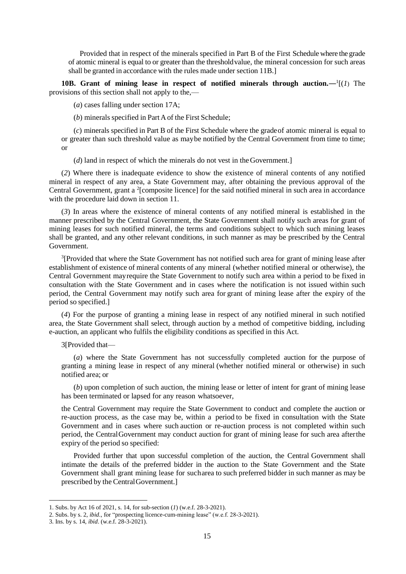Provided that in respect of the minerals specified in Part B of the First Schedule where the grade of atomic mineral is equal to or greater than the thresholdvalue, the mineral concession for such areas shall be granted in accordance with the rules made under section 11B.]

**10B.** Grant of mining lease in respect of notified minerals through auction.  $-\frac{1}{1}(1)$  The provisions of this section shall not apply to the,—

(*a*) cases falling under section 17A;

(*b*) minerals specified in Part Aof the First Schedule;

(*c*) minerals specified in Part B of the First Schedule where the gradeof atomic mineral is equal to or greater than such threshold value as maybe notified by the Central Government from time to time; or

(*d*) land in respect of which the minerals do not vest in the Government.]

(*2*) Where there is inadequate evidence to show the existence of mineral contents of any notified mineral in respect of any area, a State Government may, after obtaining the previous approval of the Central Government, grant a <sup>2</sup>[composite licence] for the said notified mineral in such area in accordance with the procedure laid down in section 11.

(*3*) In areas where the existence of mineral contents of any notified mineral is established in the manner prescribed by the Central Government, the State Government shall notify such areas for grant of mining leases for such notified mineral, the terms and conditions subject to which such mining leases shall be granted, and any other relevant conditions, in such manner as may be prescribed by the Central Government.

<sup>3</sup>[Provided that where the State Government has not notified such area for grant of mining lease after establishment of existence of mineral contents of any mineral (whether notified mineral or otherwise), the Central Government mayrequire the State Government to notify such area within a period to be fixed in consultation with the State Government and in cases where the notification is not issued within such period, the Central Government may notify such area for grant of mining lease after the expiry of the period so specified.]

(*4*) For the purpose of granting a mining lease in respect of any notified mineral in such notified area, the State Government shall select, through auction by a method of competitive bidding, including e-auction, an applicant who fulfils the eligibility conditions as specified in this Act.

3[Provided that—

(*a*) where the State Government has not successfully completed auction for the purpose of granting a mining lease in respect of any mineral (whether notified mineral or otherwise) in such notified area; or

(*b*) upon completion of such auction, the mining lease or letter of intent for grant of mining lease has been terminated or lapsed for any reason whatsoever,

the Central Government may require the State Government to conduct and complete the auction or re-auction process, as the case may be, within a period to be fixed in consultation with the State Government and in cases where such auction or re-auction process is not completed within such period, the CentralGovernment may conduct auction for grant of mining lease for such area afterthe expiry of the period so specified:

Provided further that upon successful completion of the auction, the Central Government shall intimate the details of the preferred bidder in the auction to the State Government and the State Government shall grant mining lease for sucharea to such preferred bidder in such manner as may be prescribed by the CentralGovernment.]

<sup>1.</sup> Subs. by Act 16 of 2021, s. 14, for sub-section (*1*) (w.e.f. 28-3-2021).

<sup>2.</sup> Subs. by s. 2, *ibid*., for "prospecting licence-cum-mining lease" (w.e.f. 28-3-2021).

<sup>3.</sup> Ins. by s. 14, *ibid*. (w.e.f. 28-3-2021).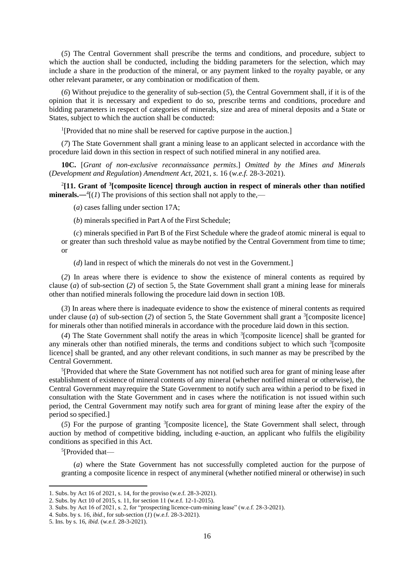(*5*) The Central Government shall prescribe the terms and conditions, and procedure, subject to which the auction shall be conducted, including the bidding parameters for the selection, which may include a share in the production of the mineral, or any payment linked to the royalty payable, or any other relevant parameter, or any combination or modification of them.

(*6*) Without prejudice to the generality of sub-section (*5*), the Central Government shall, if it is of the opinion that it is necessary and expedient to do so, prescribe terms and conditions, procedure and bidding parameters in respect of categories of minerals, size and area of mineral deposits and a State or States, subject to which the auction shall be conducted:

<sup>1</sup>[Provided that no mine shall be reserved for captive purpose in the auction.]

(*7*) The State Government shall grant a mining lease to an applicant selected in accordance with the procedure laid down in this section in respect of such notified mineral in any notified area.

**10C.** [*Grant of non-exclusive reconnaissance permits*.] *Omitted by the Mines and Minerals* (*Development and Regulation*) *Amendment Act*, 2021, *s*. 16 (*w.e.f.* 28-3-2021).

2 **[11. Grant of <sup>3</sup> [composite licence] through auction in respect of minerals other than notified minerals.**— $^{4}$ [(*1*) The provisions of this section shall not apply to the,—

(*a*) cases falling under section 17A;

(*b*) minerals specified in Part Aof the First Schedule;

(*c*) minerals specified in Part B of the First Schedule where the gradeof atomic mineral is equal to or greater than such threshold value as maybe notified by the Central Government from time to time; or

(*d*) land in respect of which the minerals do not vest in the Government.]

(*2*) In areas where there is evidence to show the existence of mineral contents as required by clause (*a*) of sub-section (*2*) of section 5, the State Government shall grant a mining lease for minerals other than notified minerals following the procedure laid down in section 10B.

(*3*) In areas where there is inadequate evidence to show the existence of mineral contents as required under clause (*a*) of sub-section (2) of section 5, the State Government shall grant a <sup>3</sup>[composite licence] for minerals other than notified minerals in accordance with the procedure laid down in this section.

(4) The State Government shall notify the areas in which <sup>3</sup>[composite licence] shall be granted for any minerals other than notified minerals, the terms and conditions subject to which such <sup>3</sup>[composite licence] shall be granted, and any other relevant conditions, in such manner as may be prescribed by the Central Government.

<sup>5</sup>[Provided that where the State Government has not notified such area for grant of mining lease after establishment of existence of mineral contents of any mineral (whether notified mineral or otherwise), the Central Government mayrequire the State Government to notify such area within a period to be fixed in consultation with the State Government and in cases where the notification is not issued within such period, the Central Government may notify such area for grant of mining lease after the expiry of the period so specified.]

(5) For the purpose of granting <sup>3</sup>[composite licence], the State Government shall select, through auction by method of competitive bidding, including e-auction, an applicant who fulfils the eligibility conditions as specified in this Act.

<sup>5</sup>[Provided that-

**.** 

(*a*) where the State Government has not successfully completed auction for the purpose of granting a composite licence in respect of anymineral (whether notified mineral or otherwise) in such

<sup>1.</sup> Subs. by Act 16 of 2021, s. 14, for the proviso (w.e.f. 28-3-2021).

<sup>2.</sup> Subs. by Act 10 of 2015, s. 11, for section 11 (w.e.f. 12-1-2015).

<sup>3.</sup> Subs. by Act 16 of 2021, s. 2, for "prospecting licence-cum-mining lease" (w.e.f. 28-3-2021).

<sup>4.</sup> Subs. by s. 16, *ibid*., for sub-section (*1*) (w.e.f. 28-3-2021).

<sup>5.</sup> Ins. by s. 16, *ibid.* (w.e.f. 28-3-2021).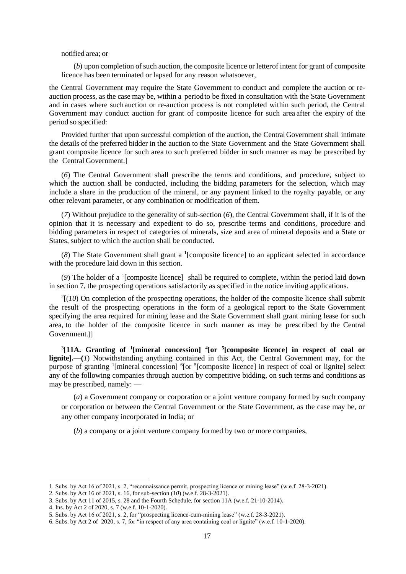#### notified area; or

(*b*) upon completion of such auction, the composite licence or letter of intent for grant of composite licence has been terminated or lapsed for any reason whatsoever,

the Central Government may require the State Government to conduct and complete the auction or reauction process, as the case may be, within a period to be fixed in consultation with the State Government and in cases where suchauction or re-auction process is not completed within such period, the Central Government may conduct auction for grant of composite licence for such area after the expiry of the period so specified:

Provided further that upon successful completion of the auction, the CentralGovernment shall intimate the details of the preferred bidder in the auction to the State Government and the State Government shall grant composite licence for such area to such preferred bidder in such manner as may be prescribed by the Central Government.]

(*6*) The Central Government shall prescribe the terms and conditions, and procedure, subject to which the auction shall be conducted, including the bidding parameters for the selection, which may include a share in the production of the mineral, or any payment linked to the royalty payable, or any other relevant parameter, or any combination or modification of them.

(*7*) Without prejudice to the generality of sub-section (*6*), the Central Government shall, if it is of the opinion that it is necessary and expedient to do so, prescribe terms and conditions, procedure and bidding parameters in respect of categories of minerals, size and area of mineral deposits and a State or States, subject to which the auction shall be conducted.

(*8*) The State Government shall grant a **<sup>1</sup>** [composite licence] to an applicant selected in accordance with the procedure laid down in this section.

(*9*) The holder of a <sup>1</sup> [composite licence] shall be required to complete, within the period laid down in section 7, the prospecting operations satisfactorily as specified in the notice inviting applications.

 $2(10)$  On completion of the prospecting operations, the holder of the composite licence shall submit the result of the prospecting operations in the form of a geological report to the State Government specifying the area required for mining lease and the State Government shall grant mining lease for such area, to the holder of the composite licence in such manner as may be prescribed by the Central Government.]]

3 [**11A. Granting of <sup>1</sup> [mineral concession] 4 [or <sup>5</sup> [composite licence**] **in respect of coal or lignite].—(***1*) Notwithstanding anything contained in this Act, the Central Government may, for the purpose of granting <sup>1</sup>[mineral concession] <sup>6</sup>[or <sup>5</sup>[composite licence] in respect of coal or lignite] select any of the following companies through auction by competitive bidding, on such terms and conditions as may be prescribed, namely: —

(*a*) a Government company or corporation or a joint venture company formed by such company or corporation or between the Central Government or the State Government, as the case may be, or any other company incorporated in India; or

(*b*) a company or a joint venture company formed by two or more companies,

<sup>1.</sup> Subs. by Act 16 of 2021, s. 2, "reconnaissance permit, prospecting licence or mining lease" (w.e.f. 28-3-2021).

<sup>2.</sup> Subs. by Act 16 of 2021, s. 16, for sub-section (*10*) (w.e.f. 28-3-2021).

<sup>3.</sup> Subs. by Act 11 of 2015, s. 28 and the Fourth Schedule, for section 11A (w.e.f. 21-10-2014).

<sup>4.</sup> Ins. by Act 2 of 2020, s. 7 (w.e.f. 10-1-2020).

<sup>5.</sup> Subs. by Act 16 of 2021, s. 2, for "prospecting licence-cum-mining lease" (w.e.f. 28-3-2021).

<sup>6.</sup> Subs. by Act 2 of 2020, s. 7, for "in respect of any area containing coal or lignite" (w.e.f. 10-1-2020).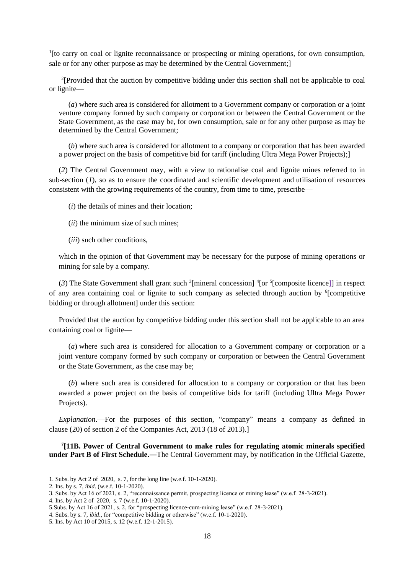<sup>1</sup>[to carry on coal or lignite reconnaissance or prospecting or mining operations, for own consumption, sale or for any other purpose as may be determined by the Central Government;]

<sup>2</sup>[Provided that the auction by competitive bidding under this section shall not be applicable to coal or lignite—

(*a*) where such area is considered for allotment to a Government company or corporation or a joint venture company formed by such company or corporation or between the Central Government or the State Government, as the case may be, for own consumption, sale or for any other purpose as may be determined by the Central Government;

(*b*) where such area is considered for allotment to a company or corporation that has been awarded a power project on the basis of competitive bid for tariff (including Ultra Mega Power Projects);]

(*2*) The Central Government may, with a view to rationalise coal and lignite mines referred to in sub-section (*1*), so as to ensure the coordinated and scientific development and utilisation of resources consistent with the growing requirements of the country, from time to time, prescribe—

(*i*) the details of mines and their location;

(*ii*) the minimum size of such mines;

(*iii*) such other conditions,

which in the opinion of that Government may be necessary for the purpose of mining operations or mining for sale by a company.

(3) The State Government shall grant such  $\frac{3}{2}$  [mineral concession]  $\frac{4}{2}$  [composite licence]] in respect of any area containing coal or lignite to such company as selected through auction by <sup>6</sup>[competitive bidding or through allotment] under this section:

Provided that the auction by competitive bidding under this section shall not be applicable to an area containing coal or lignite—

(*a*) where such area is considered for allocation to a Government company or corporation or a joint venture company formed by such company or corporation or between the Central Government or the State Government, as the case may be;

(*b*) where such area is considered for allocation to a company or corporation or that has been awarded a power project on the basis of competitive bids for tariff (including Ultra Mega Power Projects).

*Explanation*.—For the purposes of this section, "company" means a company as defined in clause (20) of section 2 of the Companies Act, 2013 (18 of 2013).]

**7 [11B. Power of Central Government to make rules for regulating atomic minerals specified under Part B of First Schedule.**―The Central Government may, by notification in the Official Gazette,

<sup>1.</sup> Subs. by Act 2 of 2020, s. 7, for the long line (w.e.f. 10-1-2020).

<sup>2.</sup> Ins. by s. 7, *ibid*. (w.e.f. 10-1-2020).

<sup>3.</sup> Subs. by Act 16 of 2021, s. 2, "reconnaissance permit, prospecting licence or mining lease" (w.e.f. 28-3-2021).

<sup>4.</sup> Ins. by Act 2 of 2020, s. 7 (w.e.f. 10-1-2020).

<sup>5.</sup>Subs. by Act 16 of 2021, s. 2, for "prospecting licence-cum-mining lease" (w.e.f. 28-3-2021).

<sup>4.</sup> Subs. by s. 7, *ibid*., for "competitive bidding or otherwise" (w.e.f. 10-1-2020).

<sup>5.</sup> Ins. by Act 10 of 2015, s. 12 (w.e.f. 12-1-2015).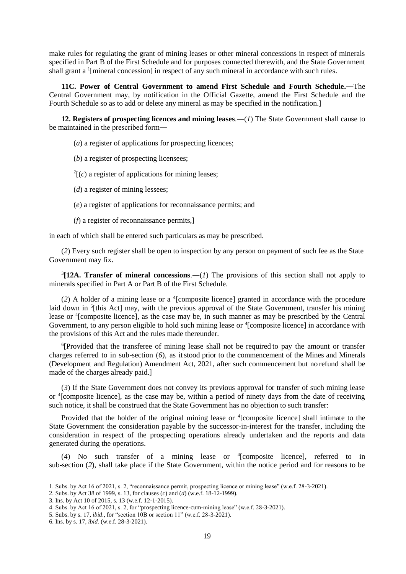make rules for regulating the grant of mining leases or other mineral concessions in respect of minerals specified in Part B of the First Schedule and for purposes connected therewith, and the State Government shall grant a <sup>1</sup>[mineral concession] in respect of any such mineral in accordance with such rules.

**11C. Power of Central Government to amend First Schedule and Fourth Schedule.**―The Central Government may, by notification in the Official Gazette, amend the First Schedule and the Fourth Schedule so as to add or delete any mineral as may be specified in the notification.]

**12. Registers of prospecting licences and mining leases**.―(*1*) The State Government shall cause to be maintained in the prescribed form―

(*a*) a register of applications for prospecting licences;

(*b*) a register of prospecting licensees;

 $2[(c)$  a register of applications for mining leases;

(*d*) a register of mining lessees;

(*e*) a register of applications for reconnaissance permits; and

(*f*) a register of reconnaissance permits,]

in each of which shall be entered such particulars as may be prescribed.

(*2*) Every such register shall be open to inspection by any person on payment of such fee as the State Government may fix.

 $3$ [12A. Transfer of mineral concessions.—(1) The provisions of this section shall not apply to minerals specified in Part A or Part B of the First Schedule.

(2) A holder of a mining lease or a <sup>4</sup>[composite licence] granted in accordance with the procedure laid down in <sup>5</sup>[this Act] may, with the previous approval of the State Government, transfer his mining lease or <sup>4</sup> [composite licence], as the case may be, in such manner as may be prescribed by the Central Government, to any person eligible to hold such mining lease or <sup>4</sup>[composite licence] in accordance with the provisions of this Act and the rules made thereunder.

<sup>6</sup>[Provided that the transferee of mining lease shall not be required to pay the amount or transfer charges referred to in sub-section (*6*), as itstood prior to the commencement of the Mines and Minerals (Development and Regulation) Amendment Act, 2021, after such commencement but no refund shall be made of the charges already paid.]

(*3*) If the State Government does not convey its previous approval for transfer of such mining lease or <sup>4</sup> [composite licence], as the case may be, within a period of ninety days from the date of receiving such notice, it shall be construed that the State Government has no objection to such transfer:

Provided that the holder of the original mining lease or <sup>4</sup>[composite licence] shall intimate to the State Government the consideration payable by the successor-in-interest for the transfer, including the consideration in respect of the prospecting operations already undertaken and the reports and data generated during the operations.

(*4*) No such transfer of a mining lease or <sup>4</sup> [composite licence], referred to in sub-section (*2*), shall take place if the State Government, within the notice period and for reasons to be

<sup>1.</sup> Subs. by Act 16 of 2021, s. 2, "reconnaissance permit, prospecting licence or mining lease" (w.e.f. 28-3-2021).

<sup>2.</sup> Subs. by Act 38 of 1999, s. 13, for clauses (*c*) and (*d*) (w.e.f. 18-12-1999).

<sup>3.</sup> Ins. by Act 10 of 2015, s. 13 (w.e.f. 12-1-2015).

<sup>4.</sup> Subs. by Act 16 of 2021, s. 2, for "prospecting licence-cum-mining lease" (w.e.f. 28-3-2021).

<sup>5.</sup> Subs. by s. 17, *ibid*., for "section 10B or section 11" (w.e.f. 28-3-2021).

<sup>6.</sup> Ins. by s. 17*, ibid.* (w.e.f. 28-3-2021).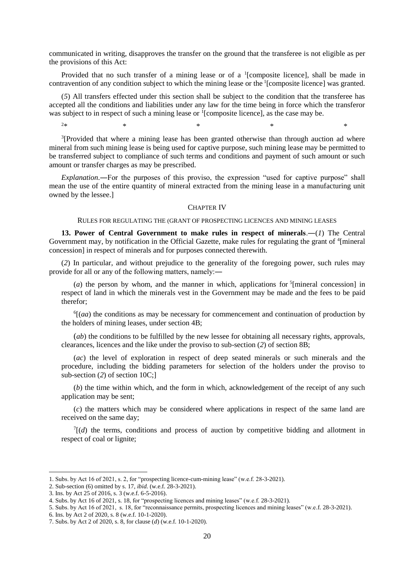communicated in writing, disapproves the transfer on the ground that the transferee is not eligible as per the provisions of this Act:

Provided that no such transfer of a mining lease or of a <sup>1</sup>[composite licence], shall be made in contravention of any condition subject to which the mining lease or the <sup>1</sup>[composite licence] was granted.

(*5*) All transfers effected under this section shall be subject to the condition that the transferee has accepted all the conditions and liabilities under any law for the time being in force which the transferor was subject to in respect of such a mining lease or <sup>1</sup>[composite licence], as the case may be.

 $2*$  \* \* \* \* \* \* \* \*

<sup>3</sup>[Provided that where a mining lease has been granted otherwise than through auction ad where mineral from such mining lease is being used for captive purpose, such mining lease may be permitted to be transferred subject to compliance of such terms and conditions and payment of such amount or such amount or transfer charges as may be prescribed.

*Explanation*.―For the purposes of this proviso, the expression "used for captive purpose" shall mean the use of the entire quantity of mineral extracted from the mining lease in a manufacturing unit owned by the lessee.]

### CHAPTER IV

#### RULES FOR REGULATING THE (GRANT OF PROSPECTING LICENCES AND MINING LEASES

**13. Power of Central Government to make rules in respect of minerals**.―(*1*) The Central Government may, by notification in the Official Gazette, make rules for regulating the grant of <sup>4</sup>[mineral concession] in respect of minerals and for purposes connected therewith.

(*2*) In particular, and without prejudice to the generality of the foregoing power, such rules may provide for all or any of the following matters, namely:―

(*a*) the person by whom, and the manner in which, applications for  $\frac{5}{2}$  [mineral concession] in respect of land in which the minerals vest in the Government may be made and the fees to be paid therefor;

 $<sup>6</sup>$ [(*aa*) the conditions as may be necessary for commencement and continuation of production by</sup> the holders of mining leases, under section 4B;

(*ab*) the conditions to be fulfilled by the new lessee for obtaining all necessary rights, approvals, clearances, licences and the like under the proviso to sub-section (*2*) of section 8B;

(*ac*) the level of exploration in respect of deep seated minerals or such minerals and the procedure, including the bidding parameters for selection of the holders under the proviso to sub-section (*2*) of section 10C;]

(*b*) the time within which, and the form in which, acknowledgement of the receipt of any such application may be sent;

(*c*) the matters which may be considered where applications in respect of the same land are received on the same day;

 $T[(d)$  the terms, conditions and process of auction by competitive bidding and allotment in respect of coal or lignite;

<sup>1.</sup> Subs. by Act 16 of 2021, s. 2, for "prospecting licence-cum-mining lease" (w.e.f. 28-3-2021).

<sup>2.</sup> Sub-section (6) omitted by s. 17, *ibid*. (w.e.f. 28-3-2021).

<sup>3.</sup> Ins. by Act 25 of 2016, s. 3 (w.e.f. 6-5-2016).

<sup>4.</sup> Subs. by Act 16 of 2021, s. 18, for "prospecting licences and mining leases" (w.e.f. 28-3-2021).

<sup>5.</sup> Subs. by Act 16 of 2021, s. 18, for "reconnaissance permits, prospecting licences and mining leases" (w.e.f. 28-3-2021).

<sup>6.</sup> Ins. by Act 2 of 2020, s. 8 (w.e.f. 10-1-2020).

<sup>7.</sup> Subs. by Act 2 of 2020, s. 8, for clause (*d*) (w.e.f. 10-1-2020).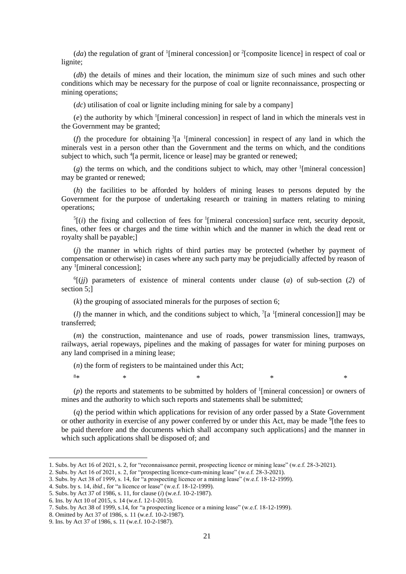$(da)$  the regulation of grant of <sup>1</sup>[mineral concession] or <sup>2</sup>[composite licence] in respect of coal or lignite;

(*db*) the details of mines and their location, the minimum size of such mines and such other conditions which may be necessary for the purpose of coal or lignite reconnaissance, prospecting or mining operations;

(*dc*) utilisation of coal or lignite including mining for sale by a company]

(*e*) the authority by which <sup>1</sup> [mineral concession] in respect of land in which the minerals vest in the Government may be granted;

( $f$ ) the procedure for obtaining  ${}^{3}[a \t{1}]$  mineral concession] in respect of any land in which the minerals vest in a person other than the Government and the terms on which, and the conditions subject to which, such <sup>4</sup>[a permit, licence or lease] may be granted or renewed;

 $(g)$  the terms on which, and the conditions subject to which, may other <sup>1</sup>[mineral concession] may be granted or renewed;

(*h*) the facilities to be afforded by holders of mining leases to persons deputed by the Government for the purpose of undertaking research or training in matters relating to mining operations;

 $<sup>5</sup>$ [(*i*) the fixing and collection of fees for <sup>1</sup>[mineral concession] surface rent, security deposit,</sup> fines, other fees or charges and the time within which and the manner in which the dead rent or royalty shall be payable;]

(*j*) the manner in which rights of third parties may be protected (whether by payment of compensation or otherwise) in cases where any such party may be prejudicially affected by reason of any <sup>1</sup> [mineral concession];

 $^{6}$ [(*jj*) parameters of existence of mineral contents under clause (*a*) of sub-section (2) of section 5;]

(*k*) the grouping of associated minerals for the purposes of section 6;

(*l*) the manner in which, and the conditions subject to which,  $\frac{1}{a}$  [mineral concession]] may be transferred;

(*m*) the construction, maintenance and use of roads, power transmission lines, tramways, railways, aerial ropeways, pipelines and the making of passages for water for mining purposes on any land comprised in a mining lease;

(*n*) the form of registers to be maintained under this Act;

 $(p)$  the reports and statements to be submitted by holders of <sup>1</sup>[mineral concession] or owners of mines and the authority to which such reports and statements shall be submitted;

 $8*$  \* \* \* \* \* \* \* \*

(*q*) the period within which applications for revision of any order passed by a State Government or other authority in exercise of any power conferred by or under this Act, may be made <sup>9</sup>[the fees to be paid therefore and the documents which shall accompany such applications] and the manner in which such applications shall be disposed of; and

<sup>1.</sup> Subs. by Act 16 of 2021, s. 2, for "reconnaissance permit, prospecting licence or mining lease" (w.e.f. 28-3-2021).

<sup>2.</sup> Subs. by Act 16 of 2021, s. 2, for "prospecting licence-cum-mining lease" (w.e.f. 28-3-2021).

<sup>3.</sup> Subs. by Act 38 of 1999, s. 14, for "a prospecting licence or a mining lease" (w.e.f. 18-12-1999).

<sup>4.</sup> Subs. by s. 14, *ibid*., for "a licence or lease" (w.e.f. 18-12-1999).

<sup>5.</sup> Subs. by Act 37 of 1986, s. 11, for clause (*i*) (w.e.f. 10-2-1987).

<sup>6.</sup> Ins. by Act 10 of 2015, s. 14 (w.e.f. 12-1-2015).

<sup>7.</sup> Subs. by Act 38 of 1999, s.14, for "a prospecting licence or a mining lease" (w.e.f. 18-12-1999).

<sup>8.</sup> Omitted by Act 37 of 1986, s. 11 (w.e.f. 10-2-1987).

<sup>9.</sup> Ins. by Act 37 of 1986, s. 11 (w.e.f. 10-2-1987).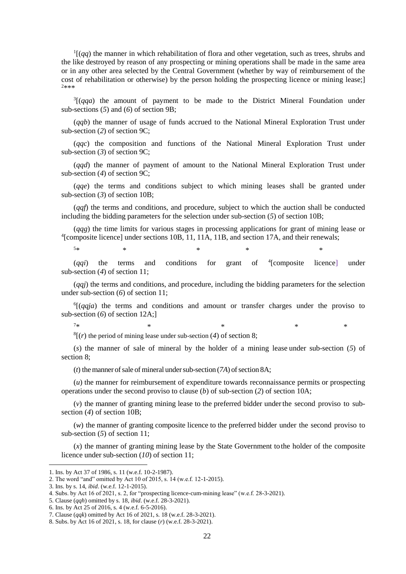$\frac{1}{q}$  (*qq*) the manner in which rehabilitation of flora and other vegetation, such as trees, shrubs and the like destroyed by reason of any prospecting or mining operations shall be made in the same area or in any other area selected by the Central Government (whether by way of reimbursement of the cost of rehabilitation or otherwise) by the person holding the prospecting licence or mining lease;] <sup>2</sup>\*\*\*

 $3[(qqa)$  the amount of payment to be made to the District Mineral Foundation under sub-sections (*5*) and (*6*) of section 9B;

(*qqb*) the manner of usage of funds accrued to the National Mineral Exploration Trust under sub-section (*2*) of section 9C;

(*qqc*) the composition and functions of the National Mineral Exploration Trust under sub-section (*3*) of section 9C;

(*qqd*) the manner of payment of amount to the National Mineral Exploration Trust under sub-section (*4*) of section 9C;

(*qqe*) the terms and conditions subject to which mining leases shall be granted under sub-section (*3*) of section 10B;

(*qqf*) the terms and conditions, and procedure, subject to which the auction shall be conducted including the bidding parameters for the selection under sub-section (*5*) of section 10B;

(*qqg*) the time limits for various stages in processing applications for grant of mining lease or <sup>4</sup> [composite licence] under sections 10B, 11, 11A, 11B, and section 17A, and their renewals;

 $5*$  \*  $*$  \*  $*$  \*

 $(qqi)$  the terms and conditions for grant of <sup>4</sup>[composite licence] under sub-section (*4*) of section 11;

(*qqj*) the terms and conditions, and procedure, including the bidding parameters for the selection under sub-section (*6*) of section 11;

6 [(*qqja*) the terms and conditions and amount or transfer charges under the proviso to sub-section (*6*) of section 12A;]

 $7*$  \*  $\ast$  \*  $\ast$  \*

 ${}^{8}$ [(*r*) the period of mining lease under sub-section (4) of section 8;

(*s*) the manner of sale of mineral by the holder of a mining lease under sub-section (*5*) of section 8;

( $t$ ) the manner of sale of mineral under sub-section  $(7A)$  of section 8A;

(*u*) the manner for reimbursement of expenditure towards reconnaissance permits or prospecting operations under the second proviso to clause (*b*) of sub-section (*2*) of section 10A;

(*v*) the manner of granting mining lease to the preferred bidder underthe second proviso to subsection (*4*) of section 10B;

(*w*) the manner of granting composite licence to the preferred bidder under the second proviso to sub-section (*5*) of section 11;

(*x*) the manner of granting mining lease by the State Government tothe holder of the composite licence under sub-section (*10*) of section 11;

<sup>1.</sup> Ins. by Act 37 of 1986, s. 11 (w.e.f. 10-2-1987).

<sup>2.</sup> The word "and" omitted by Act 10 of 2015, s. 14 (w.e.f. 12-1-2015).

<sup>3.</sup> Ins. by s. 14, *ibid*. (w.e.f. 12-1-2015).

<sup>4.</sup> Subs. by Act 16 of 2021, s. 2, for "prospecting licence-cum-mining lease" (w.e.f. 28-3-2021).

<sup>5.</sup> Clause (*qqh*) omitted by s. 18, *ibid*. (w.e.f. 28-3-2021).

<sup>6.</sup> Ins. by Act 25 of 2016, s. 4 (w.e.f. 6-5-2016).

<sup>7.</sup> Clause (*qqk*) omitted by Act 16 of 2021, s. 18 (w.e.f. 28-3-2021).

<sup>8.</sup> Subs. by Act 16 of 2021, s. 18, for clause (*r*) (w.e.f. 28-3-2021).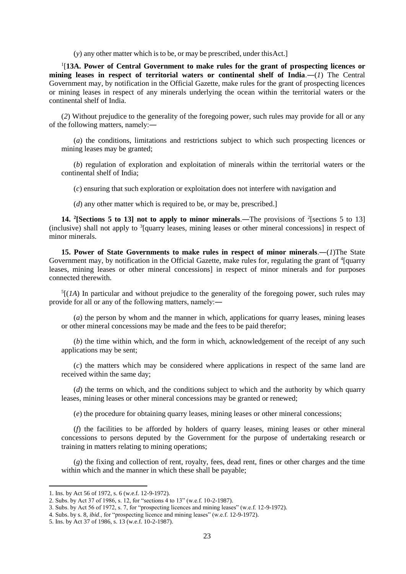(*y*) any other matter which is to be, or may be prescribed, under thisAct.]

1 [**13A. Power of Central Government to make rules for the grant of prospecting licences or mining leases in respect of territorial waters or continental shelf of India**.―(*1*) The Central Government may, by notification in the Official Gazette, make rules for the grant of prospecting licences or mining leases in respect of any minerals underlying the ocean within the territorial waters or the continental shelf of India.

(*2*) Without prejudice to the generality of the foregoing power, such rules may provide for all or any of the following matters, namely:―

(*a*) the conditions, limitations and restrictions subject to which such prospecting licences or mining leases may be granted;

(*b*) regulation of exploration and exploitation of minerals within the territorial waters or the continental shelf of India;

(*c*) ensuring that such exploration or exploitation does not interfere with navigation and

(*d*) any other matter which is required to be, or may be, prescribed.]

**14.** <sup>2</sup>[Sections 5 to 13] not to apply to minor minerals.—The provisions of <sup>2</sup>[sections 5 to 13] (inclusive) shall not apply to <sup>3</sup>[quarry leases, mining leases or other mineral concessions] in respect of minor minerals.

**15. Power of State Governments to make rules in respect of minor minerals**.―(*1*)The State Government may, by notification in the Official Gazette, make rules for, regulating the grant of  $4$ [quarry leases, mining leases or other mineral concessions] in respect of minor minerals and for purposes connected therewith.

 $<sup>5</sup>$ [(*1A*) In particular and without prejudice to the generality of the foregoing power, such rules may</sup> provide for all or any of the following matters, namely:―

(*a*) the person by whom and the manner in which, applications for quarry leases, mining leases or other mineral concessions may be made and the fees to be paid therefor;

(*b*) the time within which, and the form in which, acknowledgement of the receipt of any such applications may be sent;

(*c*) the matters which may be considered where applications in respect of the same land are received within the same day;

(*d*) the terms on which, and the conditions subject to which and the authority by which quarry leases, mining leases or other mineral concessions may be granted or renewed;

(*e*) the procedure for obtaining quarry leases, mining leases or other mineral concessions;

(*f*) the facilities to be afforded by holders of quarry leases, mining leases or other mineral concessions to persons deputed by the Government for the purpose of undertaking research or training in matters relating to mining operations;

(*g*) the fixing and collection of rent, royalty, fees, dead rent, fines or other charges and the time within which and the manner in which these shall be payable;

<sup>1.</sup> Ins. by Act 56 of 1972, s. 6 (w.e.f. 12-9-1972).

<sup>2.</sup> Subs. by Act 37 of 1986, s. 12, for "sections 4 to 13" (w.e.f. 10-2-1987).

<sup>3.</sup> Subs. by Act 56 of 1972, s. 7, for "prospecting licences and mining leases" (w.e.f. 12-9-1972).

<sup>4.</sup> Subs. by s. 8, *ibid*., for "prospecting licence and mining leases" (w.e.f. 12-9-1972).

<sup>5.</sup> Ins. by Act 37 of 1986, s. 13 (w.e.f. 10-2-1987).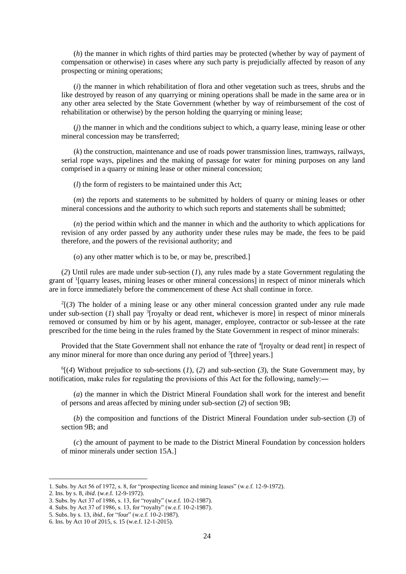(*h*) the manner in which rights of third parties may be protected (whether by way of payment of compensation or otherwise) in cases where any such party is prejudicially affected by reason of any prospecting or mining operations;

(*i*) the manner in which rehabilitation of flora and other vegetation such as trees, shrubs and the like destroyed by reason of any quarrying or mining operations shall be made in the same area or in any other area selected by the State Government (whether by way of reimbursement of the cost of rehabilitation or otherwise) by the person holding the quarrying or mining lease;

(*j*) the manner in which and the conditions subject to which, a quarry lease, mining lease or other mineral concession may be transferred;

(*k*) the construction, maintenance and use of roads power transmission lines, tramways, railways, serial rope ways, pipelines and the making of passage for water for mining purposes on any land comprised in a quarry or mining lease or other mineral concession;

(*l*) the form of registers to be maintained under this Act;

(*m*) the reports and statements to be submitted by holders of quarry or mining leases or other mineral concessions and the authority to which such reports and statements shall be submitted;

(*n*) the period within which and the manner in which and the authority to which applications for revision of any order passed by any authority under these rules may be made, the fees to be paid therefore, and the powers of the revisional authority; and

(*o*) any other matter which is to be, or may be, prescribed.]

(*2*) Until rules are made under sub-section (*1*), any rules made by a state Government regulating the grant of <sup>1</sup> [quarry leases, mining leases or other mineral concessions] in respect of minor minerals which are in force immediately before the commencement of these Act shall continue in force.

 $^{2}$ [(3) The holder of a mining lease or any other mineral concession granted under any rule made under sub-section  $(I)$  shall pay <sup>3</sup>[royalty or dead rent, whichever is more] in respect of minor minerals removed or consumed by him or by his agent, manager, employee, contractor or sub-lessee at the rate prescribed for the time being in the rules framed by the State Government in respect of minor minerals:

Provided that the State Government shall not enhance the rate of <sup>4</sup>[royalty or dead rent] in respect of any minor mineral for more than once during any period of <sup>5</sup>[three] years.]

 ${}^6$ [(4) Without prejudice to sub-sections (*1*), (2) and sub-section (3), the State Government may, by notification, make rules for regulating the provisions of this Act for the following, namely:―

(*a*) the manner in which the District Mineral Foundation shall work for the interest and benefit of persons and areas affected by mining under sub-section (*2*) of section 9B;

(*b*) the composition and functions of the District Mineral Foundation under sub-section (*3*) of section 9B; and

(*c*) the amount of payment to be made to the District Mineral Foundation by concession holders of minor minerals under section 15A.]

<sup>1.</sup> Subs. by Act 56 of 1972, s. 8, for "prospecting licence and mining leases" (w.e.f. 12-9-1972).

<sup>2.</sup> Ins. by s. 8, *ibid*. (w.e.f. 12-9-1972).

<sup>3.</sup> Subs. by Act 37 of 1986, s. 13, for "royalty" (w.e.f. 10-2-1987).

<sup>4.</sup> Subs. by Act 37 of 1986, s. 13, for "royalty" (w.e.f. 10-2-1987).

<sup>5.</sup> Subs. by s. 13, *ibid*., for "four" (w.e.f. 10-2-1987).

<sup>6.</sup> Ins. by Act 10 of 2015, s. 15 (w.e.f. 12-1-2015).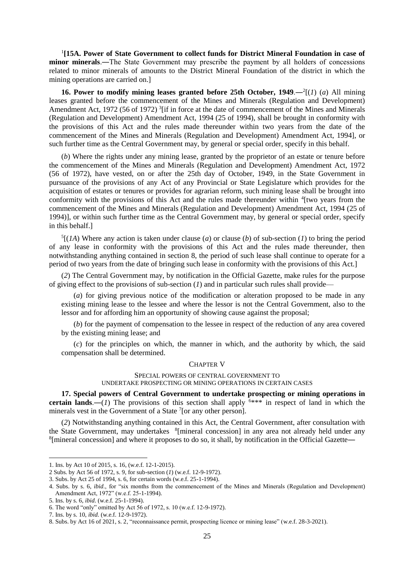<sup>1</sup>[15A. Power of State Government to collect funds for District Mineral Foundation in case of **minor minerals**.―The State Government may prescribe the payment by all holders of concessions related to minor minerals of amounts to the District Mineral Foundation of the district in which the mining operations are carried on.]

**16. Power to modify mining leases granted before 25th October,**  $1949 - (1)(a)$  **All mining** leases granted before the commencement of the Mines and Minerals (Regulation and Development) Amendment Act, 1972 (56 of 1972)<sup>3</sup> [if in force at the date of commencement of the Mines and Minerals (Regulation and Development) Amendment Act, 1994 (25 of 1994), shall be brought in conformity with the provisions of this Act and the rules made thereunder within two years from the date of the commencement of the Mines and Minerals (Regulation and Development) Amendment Act, 1994], or such further time as the Central Government may, by general or special order, specify in this behalf.

(*b*) Where the rights under any mining lease, granted by the proprietor of an estate or tenure before the commencement of the Mines and Minerals (Regulation and Development) Amendment Act, 1972 (56 of 1972), have vested, on or after the 25th day of October, 1949, in the State Government in pursuance of the provisions of any Act of any Provincial or State Legislature which provides for the acquisition of estates or tenures or provides for agrarian reform, such mining lease shall be brought into conformity with the provisions of this Act and the rules made thereunder within <sup>4</sup>[two years from the commencement of the Mines and Minerals (Regulation and Development) Amendment Act, 1994 (25 of 1994)], or within such further time as the Central Government may, by general or special order, specify in this behalf.]

 ${}^5$ [(*1A*) Where any action is taken under clause (*a*) or clause (*b*) of sub-section (*1*) to bring the period of any lease in conformity with the provisions of this Act and the rules made thereunder, then notwithstanding anything contained in section 8, the period of such lease shall continue to operate for a period of two years from the date of bringing such lease in conformity with the provisions of this Act.]

(*2*) The Central Government may, by notification in the Official Gazette, make rules for the purpose of giving effect to the provisions of sub-section (*1*) and in particular such rules shall provide—

(*a*) for giving previous notice of the modification or alteration proposed to be made in any existing mining lease to the lessee and where the lessor is not the Central Government, also to the lessor and for affording him an opportunity of showing cause against the proposal;

(*b*) for the payment of compensation to the lessee in respect of the reduction of any area covered by the existing mining lease; and

(*c*) for the principles on which, the manner in which, and the authority by which, the said compensation shall be determined.

### CHAPTER V

#### SPECIAL POWERS OF CENTRAL GOVERNMENT TO UNDERTAKE PROSPECTING OR MINING OPERATIONS IN CERTAIN CASES

**17. Special powers of Central Government to undertake prospecting or mining operations in certain lands.**—(*1*) The provisions of this section shall apply  $6***$  in respect of land in which the minerals vest in the Government of a State  $7$ [or any other person].

(*2*) Notwithstanding anything contained in this Act, the Central Government, after consultation with the State Government, may undertakes <sup>8</sup>[mineral concession] in any area not already held under any <sup>8</sup>[mineral concession] and where it proposes to do so, it shall, by notification in the Official Gazette-

<sup>1.</sup> Ins. by Act 10 of 2015, s. 16, (w.e.f. 12-1-2015).

<sup>2</sup> Subs. by Act 56 of 1972, s. 9, for sub-section (*1*) (w.e.f. 12-9-1972).

<sup>3.</sup> Subs. by Act 25 of 1994, s. 6, for certain words (w.e.f. 25-1-1994).

<sup>4.</sup> Subs. by s. 6, *ibid*., for "six months from the commencement of the Mines and Minerals (Regulation and Development) Amendment Act, 1972" (w.e.f. 25-1-1994). 5. Ins. by s. 6, *ibid*. (w.e.f. 25-1-1994).

<sup>6.</sup> The word "only" omitted by Act 56 of 1972, s. 10 (w.e.f. 12-9-1972).

<sup>7.</sup> Ins. by s. 10, *ibid.* (w.e.f. 12-9-1972).

<sup>8.</sup> Subs. by Act 16 of 2021, s. 2, "reconnaissance permit, prospecting licence or mining lease" (w.e.f. 28-3-2021).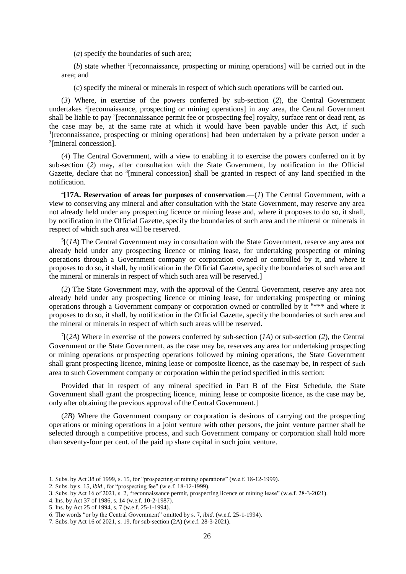(*a*) specify the boundaries of such area;

 $(b)$  state whether <sup>1</sup>[reconnaissance, prospecting or mining operations] will be carried out in the area; and

(*c*) specify the mineral or minerals in respect of which such operations will be carried out.

(*3*) Where, in exercise of the powers conferred by sub-section (*2*), the Central Government undertakes <sup>1</sup>[reconnaissance, prospecting or mining operations] in any area, the Central Government shall be liable to pay <sup>2</sup>[reconnaissance permit fee or prospecting fee] royalty, surface rent or dead rent, as the case may be, at the same rate at which it would have been payable under this Act, if such <sup>1</sup>[reconnaissance, prospecting or mining operations] had been undertaken by a private person under a 3 [mineral concession].

(*4*) The Central Government, with a view to enabling it to exercise the powers conferred on it by sub-section (*2*) may, after consultation with the State Government, by notification in the Official Gazette, declare that no <sup>3</sup>[mineral concession] shall be granted in respect of any land specified in the notification.

 $^{4}$ [17A. Reservation of areas for purposes of conservation.—(1) The Central Government, with a view to conserving any mineral and after consultation with the State Government, may reserve any area not already held under any prospecting licence or mining lease and, where it proposes to do so, it shall, by notification in the Official Gazette, specify the boundaries of such area and the mineral or minerals in respect of which such area will be reserved.

 $<sup>5</sup>$ [(*1A*) The Central Government may in consultation with the State Government, reserve any area not</sup> already held under any prospecting licence or mining lease, for undertaking prospecting or mining operations through a Government company or corporation owned or controlled by it, and where it proposes to do so, it shall, by notification in the Official Gazette, specify the boundaries of such area and the mineral or minerals in respect of which such area will be reserved.]

(*2*) The State Government may, with the approval of the Central Government, reserve any area not already held under any prospecting licence or mining lease, for undertaking prospecting or mining operations through a Government company or corporation owned or controlled by it <sup>6</sup>\*\*\* and where it proposes to do so, it shall, by notification in the Official Gazette, specify the boundaries of such area and the mineral or minerals in respect of which such areas will be reserved.

 $7[(2A)$  Where in exercise of the powers conferred by sub-section  $(A)$  or sub-section  $(2)$ , the Central Government or the State Government, as the case may be, reserves any area for undertaking prospecting or mining operations or prospecting operations followed by mining operations, the State Government shall grant prospecting licence, mining lease or composite licence, as the casemay be, in respect of such area to such Government company or corporation within the period specified in this section:

Provided that in respect of any mineral specified in Part B of the First Schedule, the State Government shall grant the prospecting licence, mining lease or composite licence, as the case may be, only after obtaining the previous approval of the Central Government.]

(*2B*) Where the Government company or corporation is desirous of carrying out the prospecting operations or mining operations in a joint venture with other persons, the joint venture partner shall be selected through a competitive process, and such Government company or corporation shall hold more than seventy-four per cent. of the paid up share capital in such joint venture.

<sup>1.</sup> Subs. by Act 38 of 1999, s. 15, for "prospecting or mining operations" (w.e.f. 18-12-1999).

<sup>2.</sup> Subs. by s. 15, *ibid*., for "prospecting fee" (w.e.f. 18-12-1999).

<sup>3.</sup> Subs. by Act 16 of 2021, s. 2, "reconnaissance permit, prospecting licence or mining lease" (w.e.f. 28-3-2021).

<sup>4.</sup> Ins. by Act 37 of 1986, s. 14 (w.e.f. 10-2-1987).

<sup>5.</sup> Ins. by Act 25 of 1994, s. 7 (w.e.f. 25-1-1994).

<sup>6.</sup> The words "or by the Central Government" omitted by s. 7, *ibid*. (w.e.f. 25-1-1994).

<sup>7.</sup> Subs. by Act 16 of 2021, s. 19, for sub-section (2A) (w.e.f. 28-3-2021).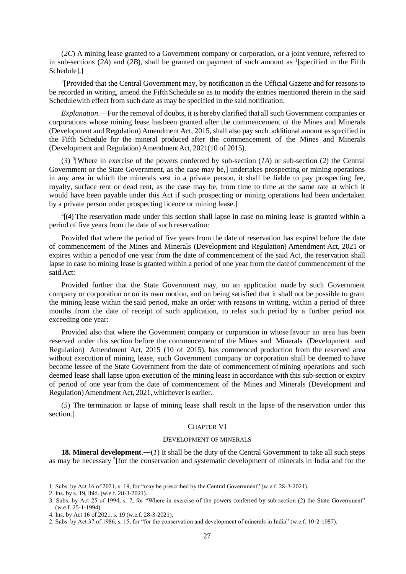(*2C*) A mining lease granted to a Government company or corporation, or a joint venture, referred to in sub-sections  $(2A)$  and  $(2B)$ , shall be granted on payment of such amount as <sup>1</sup>[specified in the Fifth Schedule].]

<sup>2</sup>[Provided that the Central Government may, by notification in the Official Gazette and for reasons to be recorded in writing, amend the FifthSchedule so as to modify the entries mentioned therein in the said Schedulewith effect from such date as may be specified in the said notification.

*Explanation*.—For the removal of doubts, it is hereby clarified that all such Government companies or corporations whose mining lease has been granted after the commencement of the Mines and Minerals (Development and Regulation) Amendment Act, 2015, shall also pay such additional amount as specified in the Fifth Schedule for the mineral produced after the commencement of the Mines and Minerals (Development and Regulation)AmendmentAct, 2021(10 of 2015).

(*3*) 3 [Where in exercise of the powers conferred by sub-section (*1A*) or sub-section (*2*) the Central Government or the State Government, as the case may be,] undertakes prospecting or mining operations in any area in which the minerals vest in a private person, it shall be liable to pay prospecting fee, royalty, surface rent or dead rent, as the case may be, from time to time at the same rate at which it would have been payable under this Act if such prospecting or mining operations had been undertaken by a private person under prospecting licence or mining lease.]

4 [(*4*) The reservation made under this section shall lapse in case no mining lease is granted within a period of five years from the date of such reservation:

Provided that where the period of five years from the date of reservation has expired before the date of commencement of the Mines and Minerals (Development and Regulation) Amendment Act, 2021 or expires within a period of one year from the date of commencement of the said Act, the reservation shall lapse in case no mining lease is granted within a period of one year from the dateof commencement of the saidAct:

Provided further that the State Government may, on an application made by such Government company or corporation or on its own motion, and on being satisfied that it shall not be possible to grant the mining lease within the said period, make an order with reasons in writing, within a period of three months from the date of receipt of such application, to relax such period by a further period not exceeding one year:

Provided also that where the Government company or corporation in whose favour an area has been reserved under this section before the commencement of the Mines and Minerals (Development and Regulation) Amendment Act, 2015 (10 of 2015), has commenced production from the reserved area without execution of mining lease, such Government company or corporation shall be deemed to have become lessee of the State Government from the date of commencement of mining operations and such deemed lease shall lapse upon execution of the mining lease in accordance with this sub-section or expiry of period of one year from the date of commencement of the Mines and Minerals (Development and Regulation) Amendment Act, 2021, whichever is earlier.

(*5*) The termination or lapse of mining lease shall result in the lapse of the reservation under this section.]

### CHAPTER VI

#### DEVELOPMENT OF MINERALS

**18. Mineral development.**—(*1*) It shall be the duty of the Central Government to take all such steps as may be necessary <sup>5</sup>[for the conservation and systematic development of minerals in India and for the

<sup>1.</sup> Subs. by Act 16 of 2021, s. 19, for "may be prescribed by the Central Government" (w.e.f. 28-3-2021).

<sup>2.</sup> Ins. by s. 19, ibid. (w.e.f. 28-3-2021).

<sup>3.</sup> Subs. by Act 25 of 1994, s. 7, for "Where in exercise of the powers conferred by sub-section (2) the State Government" (w.e.f. 25-1-1994).

<sup>4.</sup> Ins. by Act 16 of 2021, s. 19 (w.e.f. 28-3-2021).

<sup>2.</sup> Subs. by Act 37 of 1986, s. 15, for "for the conservation and development of minerals in India" (w.e.f. 10-2-1987).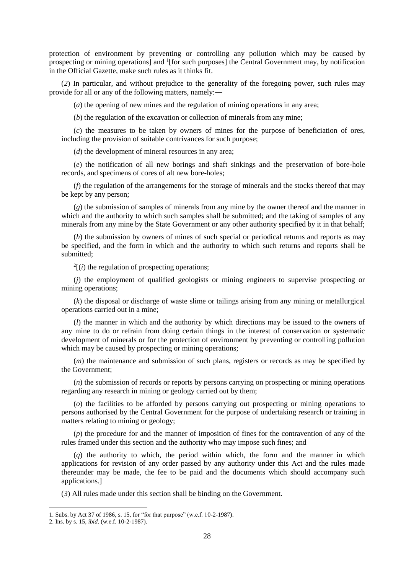protection of environment by preventing or controlling any pollution which may be caused by prospecting or mining operations] and <sup>1</sup>[for such purposes] the Central Government may, by notification in the Official Gazette, make such rules as it thinks fit.

(*2*) In particular, and without prejudice to the generality of the foregoing power, such rules may provide for all or any of the following matters, namely:―

(*a*) the opening of new mines and the regulation of mining operations in any area;

(*b*) the regulation of the excavation or collection of minerals from any mine;

(*c*) the measures to be taken by owners of mines for the purpose of beneficiation of ores, including the provision of suitable contrivances for such purpose;

(*d*) the development of mineral resources in any area;

(*e*) the notification of all new borings and shaft sinkings and the preservation of bore-hole records, and specimens of cores of alt new bore-holes;

(*f*) the regulation of the arrangements for the storage of minerals and the stocks thereof that may be kept by any person;

(*g*) the submission of samples of minerals from any mine by the owner thereof and the manner in which and the authority to which such samples shall be submitted; and the taking of samples of any minerals from any mine by the State Government or any other authority specified by it in that behalf;

(*h*) the submission by owners of mines of such special or periodical returns and reports as may be specified, and the form in which and the authority to which such returns and reports shall be submitted:

 $2[(i)$  the regulation of prospecting operations;

(*j*) the employment of qualified geologists or mining engineers to supervise prospecting or mining operations;

(*k*) the disposal or discharge of waste slime or tailings arising from any mining or metallurgical operations carried out in a mine;

(*l*) the manner in which and the authority by which directions may be issued to the owners of any mine to do or refrain from doing certain things in the interest of conservation or systematic development of minerals or for the protection of environment by preventing or controlling pollution which may be caused by prospecting or mining operations;

(*m*) the maintenance and submission of such plans, registers or records as may be specified by the Government;

(*n*) the submission of records or reports by persons carrying on prospecting or mining operations regarding any research in mining or geology carried out by them;

(*o*) the facilities to be afforded by persons carrying out prospecting or mining operations to persons authorised by the Central Government for the purpose of undertaking research or training in matters relating to mining or geology;

(*p*) the procedure for and the manner of imposition of fines for the contravention of any of the rules framed under this section and the authority who may impose such fines; and

(*q*) the authority to which, the period within which, the form and the manner in which applications for revision of any order passed by any authority under this Act and the rules made thereunder may be made, the fee to be paid and the documents which should accompany such applications.]

(*3*) All rules made under this section shall be binding on the Government.

<sup>1.</sup> Subs. by Act 37 of 1986, s. 15, for "for that purpose" (w.e.f. 10-2-1987).

<sup>2.</sup> Ins. by s. 15, *ibid*. (w.e.f. 10-2-1987).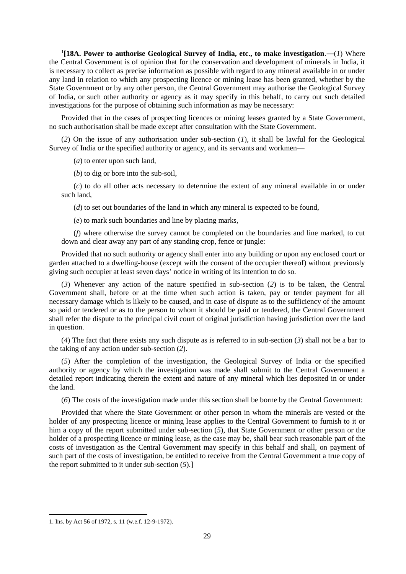1 **[18A. Power to authorise Geological Survey of India, etc., to make investigation**.―(*1*) Where the Central Government is of opinion that for the conservation and development of minerals in India, it is necessary to collect as precise information as possible with regard to any mineral available in or under any land in relation to which any prospecting licence or mining lease has been granted, whether by the State Government or by any other person, the Central Government may authorise the Geological Survey of India, or such other authority or agency as it may specify in this behalf, to carry out such detailed investigations for the purpose of obtaining such information as may be necessary:

Provided that in the cases of prospecting licences or mining leases granted by a State Government, no such authorisation shall be made except after consultation with the State Government.

(*2*) On the issue of any authorisation under sub-section (*1*), it shall be lawful for the Geological Survey of India or the specified authority or agency, and its servants and workmen—

(*a*) to enter upon such land,

(*b*) to dig or bore into the sub-soil,

(*c*) to do all other acts necessary to determine the extent of any mineral available in or under such land,

(*d*) to set out boundaries of the land in which any mineral is expected to be found,

(*e*) to mark such boundaries and line by placing marks,

(*f*) where otherwise the survey cannot be completed on the boundaries and line marked, to cut down and clear away any part of any standing crop, fence or jungle:

Provided that no such authority or agency shall enter into any building or upon any enclosed court or garden attached to a dwelling-house (except with the consent of the occupier thereof) without previously giving such occupier at least seven days' notice in writing of its intention to do so.

(*3*) Whenever any action of the nature specified in sub-section (*2*) is to be taken, the Central Government shall, before or at the time when such action is taken, pay or tender payment for all necessary damage which is likely to be caused, and in case of dispute as to the sufficiency of the amount so paid or tendered or as to the person to whom it should be paid or tendered, the Central Government shall refer the dispute to the principal civil court of original jurisdiction having jurisdiction over the land in question.

(*4*) The fact that there exists any such dispute as is referred to in sub-section (*3*) shall not be a bar to the taking of any action under sub-section (*2*).

(*5*) After the completion of the investigation, the Geological Survey of India or the specified authority or agency by which the investigation was made shall submit to the Central Government a detailed report indicating therein the extent and nature of any mineral which lies deposited in or under the land.

(*6*) The costs of the investigation made under this section shall be borne by the Central Government:

Provided that where the State Government or other person in whom the minerals are vested or the holder of any prospecting licence or mining lease applies to the Central Government to furnish to it or him a copy of the report submitted under sub-section (*5*), that State Government or other person or the holder of a prospecting licence or mining lease, as the case may be, shall bear such reasonable part of the costs of investigation as the Central Government may specify in this behalf and shall, on payment of such part of the costs of investigation, be entitled to receive from the Central Government a true copy of the report submitted to it under sub-section (*5*).]

<sup>1.</sup> Ins. by Act 56 of 1972, s. 11 (w.e.f. 12-9-1972).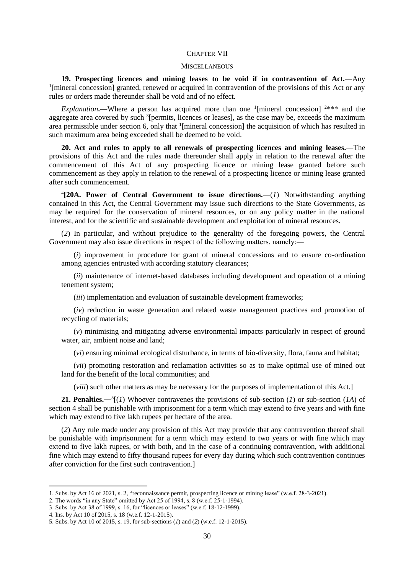#### CHAPTER VII

#### **MISCELLANEOUS**

**19. Prospecting licences and mining leases to be void if in contravention of Act.―**Any <sup>1</sup>[mineral concession] granted, renewed or acquired in contravention of the provisions of this Act or any rules or orders made thereunder shall be void and of no effect.

*Explanation*.—Where a person has acquired more than one <sup>1</sup>[mineral concession]  $2***$  and the aggregate area covered by such <sup>3</sup>[permits, licences or leases], as the case may be, exceeds the maximum area permissible under section 6, only that <sup>1</sup>[mineral concession] the acquisition of which has resulted in such maximum area being exceeded shall be deemed to be void.

**20. Act and rules to apply to all renewals of prospecting licences and mining leases.**―The provisions of this Act and the rules made thereunder shall apply in relation to the renewal after the commencement of this Act of any prospecting licence or mining lease granted before such commencement as they apply in relation to the renewal of a prospecting licence or mining lease granted after such commencement.

4 **[20A. Power of Central Government to issue directions.―**(*1*) Notwithstanding anything contained in this Act, the Central Government may issue such directions to the State Governments, as may be required for the conservation of mineral resources, or on any policy matter in the national interest, and for the scientific and sustainable development and exploitation of mineral resources.

(*2*) In particular, and without prejudice to the generality of the foregoing powers, the Central Government may also issue directions in respect of the following matters, namely:―

(*i*) improvement in procedure for grant of mineral concessions and to ensure co-ordination among agencies entrusted with according statutory clearances;

(*ii*) maintenance of internet-based databases including development and operation of a mining tenement system;

(*iii*) implementation and evaluation of sustainable development frameworks;

(*iv*) reduction in waste generation and related waste management practices and promotion of recycling of materials;

(*v*) minimising and mitigating adverse environmental impacts particularly in respect of ground water, air, ambient noise and land;

(*vi*) ensuring minimal ecological disturbance, in terms of bio-diversity, flora, fauna and habitat;

(*vii*) promoting restoration and reclamation activities so as to make optimal use of mined out land for the benefit of the local communities; and

(*viii*) such other matters as may be necessary for the purposes of implementation of this Act.]

**21. Penalties.**— $^{5}$ [(*1*) Whoever contravenes the provisions of sub-section (*1*) or sub-section (*1A*) of section 4 shall be punishable with imprisonment for a term which may extend to five years and with fine which may extend to five lakh rupees per hectare of the area.

(*2*) Any rule made under any provision of this Act may provide that any contravention thereof shall be punishable with imprisonment for a term which may extend to two years or with fine which may extend to five lakh rupees, or with both, and in the case of a continuing contravention, with additional fine which may extend to fifty thousand rupees for every day during which such contravention continues after conviction for the first such contravention.]

<sup>1.</sup> Subs. by Act 16 of 2021, s. 2, "reconnaissance permit, prospecting licence or mining lease" (w.e.f. 28-3-2021).

<sup>2.</sup> The words "in any State" omitted by Act 25 of 1994, s. 8 (w.e.f. 25-1-1994).

<sup>3.</sup> Subs. by Act 38 of 1999, s. 16, for "licences or leases" (w.e.f. 18-12-1999).

<sup>4.</sup> Ins. by Act 10 of 2015, s. 18 (w.e.f. 12-1-2015).

<sup>5.</sup> Subs. by Act 10 of 2015, s. 19, for sub-sections (*1*) and (*2*) (w.e.f. 12-1-2015).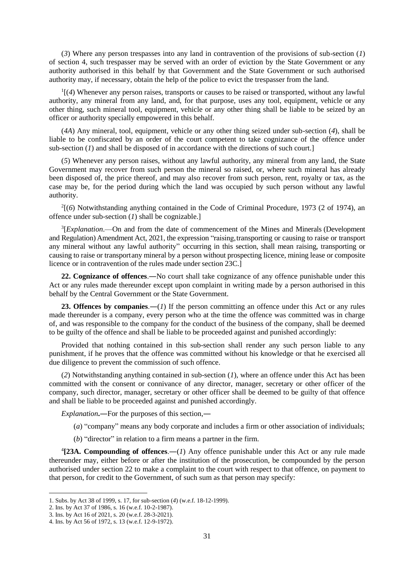(*3*) Where any person trespasses into any land in contravention of the provisions of sub-section (*1*) of section 4, such trespasser may be served with an order of eviction by the State Government or any authority authorised in this behalf by that Government and the State Government or such authorised authority may, if necessary, obtain the help of the police to evict the trespasser from the land.

1 [(*4*) Whenever any person raises, transports or causes to be raised or transported, without any lawful authority, any mineral from any land, and, for that purpose, uses any tool, equipment, vehicle or any other thing, such mineral tool, equipment, vehicle or any other thing shall be liable to be seized by an officer or authority specially empowered in this behalf.

(*4A*) Any mineral, tool, equipment, vehicle or any other thing seized under sub-section (*4*), shall be liable to be confiscated by an order of the court competent to take cognizance of the offence under sub-section (*1*) and shall be disposed of in accordance with the directions of such court.]

(*5*) Whenever any person raises, without any lawful authority, any mineral from any land, the State Government may recover from such person the mineral so raised, or, where such mineral has already been disposed of, the price thereof, and may also recover from such person, rent, royalty or tax, as the case may be, for the period during which the land was occupied by such person without any lawful authority.

2 [(*6*) Notwithstanding anything contained in the Code of Criminal Procedure, 1973 (2 of 1974), an offence under sub-section (*1*) shall be cognizable.]

<sup>3</sup>[*Explanation*.—On and from the date of commencement of the Mines and Minerals (Development and Regulation) Amendment Act, 2021, the expression "raising,transporting or causing to raise or transport any mineral without any lawful authority" occurring in this section, shall mean raising, transporting or causing to raise or transportany mineral by a person without prospecting licence, mining lease or composite licence or in contravention of the rules made under section 23C.]

**22. Cognizance of offences**.―No court shall take cognizance of any offence punishable under this Act or any rules made thereunder except upon complaint in writing made by a person authorised in this behalf by the Central Government or the State Government.

**23. Offences by companies**.―(*1*) If the person committing an offence under this Act or any rules made thereunder is a company, every person who at the time the offence was committed was in charge of, and was responsible to the company for the conduct of the business of the company, shall be deemed to be guilty of the offence and shall be liable to be proceeded against and punished accordingly:

Provided that nothing contained in this sub-section shall render any such person liable to any punishment, if he proves that the offence was committed without his knowledge or that he exercised all due diligence to prevent the commission of such offence.

(*2*) Notwithstanding anything contained in sub-section (*1*), where an offence under this Act has been committed with the consent or connivance of any director, manager, secretary or other officer of the company, such director, manager, secretary or other officer shall be deemed to be guilty of that offence and shall be liable to be proceeded against and punished accordingly.

*Explanation***.**―For the purposes of this section,―

- (*a*) "company" means any body corporate and includes a firm or other association of individuals;
- (*b*) "director" in relation to a firm means a partner in the firm.

4 **[23A. Compounding of offences**.―(*1*) Any offence punishable under this Act or any rule made thereunder may, either before or after the institution of the prosecution, be compounded by the person authorised under section 22 to make a complaint to the court with respect to that offence, on payment to that person, for credit to the Government, of such sum as that person may specify:

<sup>1.</sup> Subs. by Act 38 of 1999, s. 17, for sub-section (*4*) (w.e.f. 18-12-1999).

<sup>2.</sup> Ins. by Act 37 of 1986, s. 16 (w.e.f. 10-2-1987).

<sup>3.</sup> Ins. by Act 16 of 2021, s. 20 (w.e.f. 28-3-2021).

<sup>4.</sup> Ins. by Act 56 of 1972, s. 13 (w.e.f. 12-9-1972).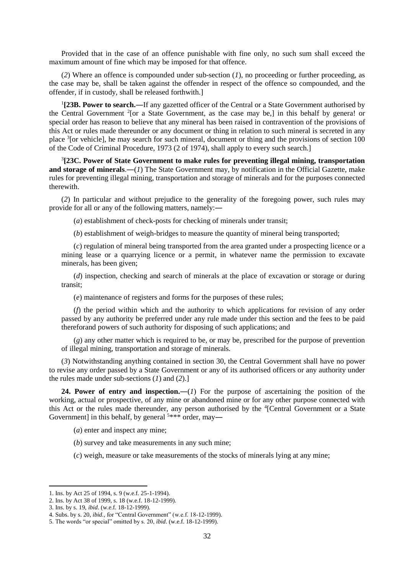Provided that in the case of an offence punishable with fine only, no such sum shall exceed the maximum amount of fine which may be imposed for that offence.

(*2*) Where an offence is compounded under sub-section (*1*), no proceeding or further proceeding, as the case may be, shall be taken against the offender in respect of the offence so compounded, and the offender, if in custody, shall be released forthwith.]

1 **[23B. Power to search.―**If any gazetted officer of the Central or a State Government authorised by the Central Government  $2$ [or a State Government, as the case may be,] in this behalf by genera! or special order has reason to believe that any mineral has been raised in contravention of the provisions of this Act or rules made thereunder or any document or thing in relation to such mineral is secreted in any place <sup>3</sup>[or vehicle], he may search for such mineral, document or thing and the provisions of section 100 of the Code of Criminal Procedure, 1973 (2 of 1974), shall apply to every such search.]

3 **[23C. Power of State Government to make rules for preventing illegal mining, transportation and storage of minerals**.―(*1*) The State Government may, by notification in the Official Gazette, make rules for preventing illegal mining, transportation and storage of minerals and for the purposes connected therewith.

(*2*) In particular and without prejudice to the generality of the foregoing power, such rules may provide for all or any of the following matters, namely:―

(*a*) establishment of check-posts for checking of minerals under transit;

(*b*) establishment of weigh-bridges to measure the quantity of mineral being transported;

(*c*) regulation of mineral being transported from the area granted under a prospecting licence or a mining lease or a quarrying licence or a permit, in whatever name the permission to excavate minerals, has been given;

(*d*) inspection, checking and search of minerals at the place of excavation or storage or during transit;

(*e*) maintenance of registers and forms for the purposes of these rules;

(*f*) the period within which and the authority to which applications for revision of any order passed by any authority be preferred under any rule made under this section and the fees to be paid thereforand powers of such authority for disposing of such applications; and

(*g*) any other matter which is required to be, or may be, prescribed for the purpose of prevention of illegal mining, transportation and storage of minerals.

(*3*) Notwithstanding anything contained in section 30, the Central Government shall have no power to revise any order passed by a State Government or any of its authorised officers or any authority under the rules made under sub-sections (*1*) and (*2*).]

**24. Power of entry and inspection.—(***1***)** For the purpose of ascertaining the position of the working, actual or prospective, of any mine or abandoned mine or for any other purpose connected with this Act or the rules made thereunder, any person authorised by the <sup>4</sup>[Central Government or a State Government] in this behalf, by general  $5***$  order, may—

(*a*) enter and inspect any mine;

(*b*) survey and take measurements in any such mine;

(*c*) weigh, measure or take measurements of the stocks of minerals lying at any mine;

<sup>1.</sup> Ins. by Act 25 of 1994, s. 9 (w.e.f. 25-1-1994).

<sup>2.</sup> Ins. by Act 38 of 1999, s. 18 (w.e.f. 18-12-1999).

<sup>3.</sup> Ins. by s. 19, *ibid*. (w.e.f. 18-12-1999).

<sup>4.</sup> Subs. by s. 20, *ibid.,* for "Central Government" (w.e.f. 18-12-1999).

<sup>5.</sup> The words "or special" omitted by s. 20, *ibid*. (w.e.f. 18-12-1999).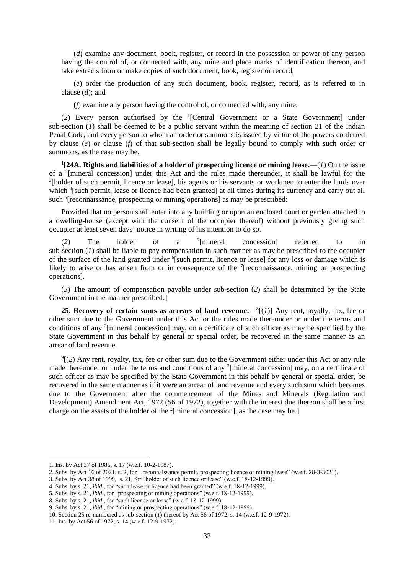(*d*) examine any document, book, register, or record in the possession or power of any person having the control of, or connected with, any mine and place marks of identification thereon, and take extracts from or make copies of such document, book, register or record;

(*e*) order the production of any such document, book, register, record, as is referred to in clause (*d*); and

(*f*) examine any person having the control of, or connected with, any mine.

(*2*) Every person authorised by the <sup>1</sup> [Central Government or a State Government] under sub-section  $(I)$  shall be deemed to be a public servant within the meaning of section 21 of the Indian Penal Code, and every person to whom an order or summons is issued by virtue of the powers conferred by clause (*e*) or clause (*f*) of that sub-section shall be legally bound to comply with such order or summons, as the case may be.

 $\frac{1}{2}$ [24A. Rights and liabilities of a holder of prospecting licence or mining lease.—(*1*) On the issue of a <sup>2</sup> [mineral concession] under this Act and the rules made thereunder, it shall be lawful for the <sup>3</sup>[holder of such permit, licence or lease], his agents or his servants or workmen to enter the lands over which <sup>4</sup>[such permit, lease or licence had been granted] at all times during its currency and carry out all such <sup>5</sup>[reconnaissance, prospecting or mining operations] as may be prescribed:

Provided that no person shall enter into any building or upon an enclosed court or garden attached to a dwelling-house (except with the consent of the occupier thereof) without previously giving such occupier at least seven days' notice in writing of his intention to do so.

(*2*) The holder of a <sup>2</sup> concession referred to in sub-section (*1*) shall be liable to pay compensation in such manner as may be prescribed to the occupier of the surface of the land granted under <sup>6</sup>[such permit, licence or lease] for any loss or damage which is likely to arise or has arisen from or in consequence of the  $\frac{7}{2}$  [reconnaissance, mining or prospecting operations].

(*3*) The amount of compensation payable under sub-section (*2*) shall be determined by the State Government in the manner prescribed.]

**25. Recovery of certain sums as arrears of land revenue.**— $^{8}$ [(*1*)] Any rent, royally, tax, fee or other sum due to the Government under this Act or the rules made thereunder or under the terms and conditions of any <sup>2</sup> [mineral concession] may, on a certificate of such officer as may be specified by the State Government in this behalf by general or special order, be recovered in the same manner as an arrear of land revenue.

 $\mathcal{P}$ [(2) Any rent, royalty, tax, fee or other sum due to the Government either under this Act or any rule made thereunder or under the terms and conditions of any <sup>2</sup>[mineral concession] may, on a certificate of such officer as may be specified by the State Government in this behalf by general or special order, be recovered in the same manner as if it were an arrear of land revenue and every such sum which becomes due to the Government after the commencement of the Mines and Minerals (Regulation and Development) Amendment Act, 1972 (56 of 1972), together with the interest due thereon shall be a first charge on the assets of the holder of the  $2$ [mineral concession], as the case may be.]

<sup>1.</sup> Ins. by Act 37 of 1986, s. 17 (w.e.f. 10-2-1987).

<sup>2.</sup> Subs. by Act 16 of 2021, s. 2, for " reconnaissance permit, prospecting licence or mining lease" (w.e.f. 28-3-3021).

<sup>3.</sup> Subs. by Act 38 of 1999, s. 21, for "holder of such licence or lease" (w.e.f. 18-12-1999).

<sup>4.</sup> Subs. by s. 21, *ibid*., for "such lease or licence had been granted" (w.e.f. 18-12-1999).

<sup>5.</sup> Subs. by s. 21, *ibid*., for "prospecting or mining operations" (w.e.f. 18-12-1999).

<sup>8.</sup> Subs. by s. 21, *ibid*., for "such licence or lease" (w.e.f. 18-12-1999).

<sup>9.</sup> Subs. by s. 21, *ibid*., for "mining or prospecting operations" (w.e.f. 18-12-1999).

<sup>10.</sup> Section 25 re-numbered as sub-section (*1*) thereof by Act 56 of 1972, s. 14 (w.e.f. 12-9-1972).

<sup>11.</sup> Ins. by Act 56 of 1972, s. 14 (w.e.f. 12-9-1972).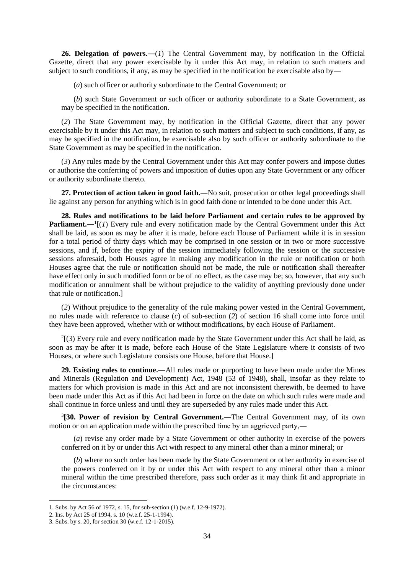**26. Delegation of powers.**―(*1*) The Central Government may, by notification in the Official Gazette, direct that any power exercisable by it under this Act may, in relation to such matters and subject to such conditions, if any, as may be specified in the notification be exercisable also by―

(*a*) such officer or authority subordinate to the Central Government; or

(*b*) such State Government or such officer or authority subordinate to a State Government, as may be specified in the notification.

(*2*) The State Government may, by notification in the Official Gazette, direct that any power exercisable by it under this Act may, in relation to such matters and subject to such conditions, if any, as may be specified in the notification, be exercisable also by such officer or authority subordinate to the State Government as may be specified in the notification.

(*3*) Any rules made by the Central Government under this Act may confer powers and impose duties or authorise the conferring of powers and imposition of duties upon any State Government or any officer or authority subordinate thereto.

**27. Protection of action taken in good faith.—No suit, prosecution or other legal proceedings shall** lie against any person for anything which is in good faith done or intended to be done under this Act.

**28. Rules and notifications to be laid before Parliament and certain rules to be approved by Parliament.**— $\lceil (1) \rceil$  Every rule and every notification made by the Central Government under this Act shall be laid, as soon as may be after it is made, before each House of Parliament while it is in session for a total period of thirty days which may be comprised in one session or in two or more successive sessions, and if, before the expiry of the session immediately following the session or the successive sessions aforesaid, both Houses agree in making any modification in the rule or notification or both Houses agree that the rule or notification should not be made, the rule or notification shall thereafter have effect only in such modified form or be of no effect, as the case may be; so, however, that any such modification or annulment shall be without prejudice to the validity of anything previously done under that rule or notification.]

(*2*) Without prejudice to the generality of the rule making power vested in the Central Government, no rules made with reference to clause (*c*) of sub-section (*2*) of section 16 shall come into force until they have been approved, whether with or without modifications, by each House of Parliament.

 $2[(3)$  Every rule and every notification made by the State Government under this Act shall be laid, as soon as may be after it is made, before each House of the State Legislature where it consists of two Houses, or where such Legislature consists one House, before that House.]

**29. Existing rules to continue.**―All rules made or purporting to have been made under the Mines and Minerals (Regulation and Development) Act, 1948 (53 of 1948), shall, insofar as they relate to matters for which provision is made in this Act and are not inconsistent therewith, be deemed to have been made under this Act as if this Act had been in force on the date on which such rules were made and shall continue in force unless and until they are superseded by any rules made under this Act.

3 **[30. Power of revision by Central Government.**―The Central Government may, of its own motion or on an application made within the prescribed time by an aggrieved party,―

(*a*) revise any order made by a State Government or other authority in exercise of the powers conferred on it by or under this Act with respect to any mineral other than a minor mineral; or

(*b*) where no such order has been made by the State Government or other authority in exercise of the powers conferred on it by or under this Act with respect to any mineral other than a minor mineral within the time prescribed therefore, pass such order as it may think fit and appropriate in the circumstances:

<sup>1.</sup> Subs. by Act 56 of 1972, s. 15, for sub-section (*1*) (w.e.f. 12-9-1972).

<sup>2.</sup> Ins. by Act 25 of 1994, s. 10 (w.e.f. 25-1-1994).

<sup>3.</sup> Subs. by s. 20, for section 30 (w.e.f. 12-1-2015).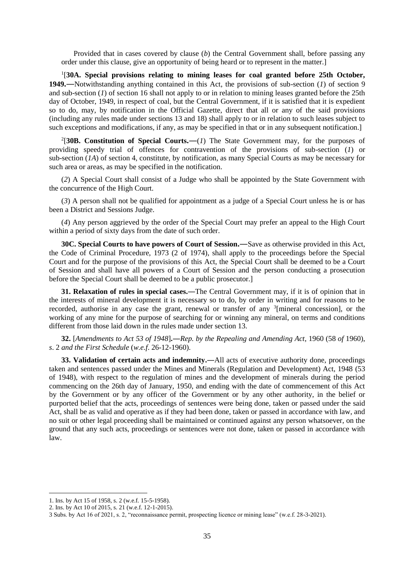Provided that in cases covered by clause (*b*) the Central Government shall, before passing any order under this clause, give an opportunity of being heard or to represent in the matter.]

<sup>1</sup>[30A. Special provisions relating to mining leases for coal granted before 25th October, **1949**.—Notwithstanding anything contained in this Act, the provisions of sub-section (*1*) of section 9 and sub-section (*1*) of section 16 shall not apply to or in relation to mining leases granted before the 25th day of October, 1949, in respect of coal, but the Central Government, if it is satisfied that it is expedient so to do, may, by notification in the Official Gazette, direct that all or any of the said provisions (including any rules made under sections 13 and 18) shall apply to or in relation to such leases subject to such exceptions and modifications, if any, as may be specified in that or in any subsequent notification.]

<sup>2</sup>[30B. Constitution of Special Courts.— $(I)$  The State Government may, for the purposes of providing speedy trial of offences for contravention of the provisions of sub-section (*1*) or sub-section (*1A*) of section 4, constitute, by notification, as many Special Courts as may be necessary for such area or areas, as may be specified in the notification.

(*2*) A Special Court shall consist of a Judge who shall be appointed by the State Government with the concurrence of the High Court.

(*3*) A person shall not be qualified for appointment as a judge of a Special Court unless he is or has been a District and Sessions Judge.

(*4*) Any person aggrieved by the order of the Special Court may prefer an appeal to the High Court within a period of sixty days from the date of such order.

**30C. Special Courts to have powers of Court of Session.**―Save as otherwise provided in this Act, the Code of Criminal Procedure, 1973 (2 of 1974), shall apply to the proceedings before the Special Court and for the purpose of the provisions of this Act, the Special Court shall be deemed to be a Court of Session and shall have all powers of a Court of Session and the person conducting a prosecution before the Special Court shall be deemed to be a public prosecutor.]

**31. Relaxation of rules in special cases.**―The Central Government may, if it is of opinion that in the interests of mineral development it is necessary so to do, by order in writing and for reasons to be recorded, authorise in any case the grant, renewal or transfer of any <sup>3</sup>[mineral concession], or the working of any mine for the purpose of searching for or winning any mineral, on terms and conditions different from those laid down in the rules made under section 13.

**32.** [*Amendments to Act 53 of 1948*]**.**―*Rep. by the Repealing and Amending Act*, 1960 (58 *of* 1960), *s*. 2 *and the First Schedule* (*w.e.f*. 26-12-1960).

**33. Validation of certain acts and indemnity.**―All acts of executive authority done, proceedings taken and sentences passed under the Mines and Minerals (Regulation and Development) Act, 1948 (53 of 1948), with respect to the regulation of mines and the development of minerals during the period commencing on the 26th day of January, 1950, and ending with the date of commencement of this Act by the Government or by any officer of the Government or by any other authority, in the belief or purported belief that the acts, proceedings of sentences were being done, taken or passed under the said Act, shall be as valid and operative as if they had been done, taken or passed in accordance with law, and no suit or other legal proceeding shall be maintained or continued against any person whatsoever, on the ground that any such acts, proceedings or sentences were not done, taken or passed in accordance with law.

<sup>1.</sup> Ins. by Act 15 of 1958, s. 2 (w.e.f. 15-5-1958).

<sup>2.</sup> Ins. by Act 10 of 2015, s. 21 (w.e.f. 12-1-2015).

<sup>3</sup> Subs. by Act 16 of 2021, s. 2, "reconnaissance permit, prospecting licence or mining lease" (w.e.f. 28-3-2021).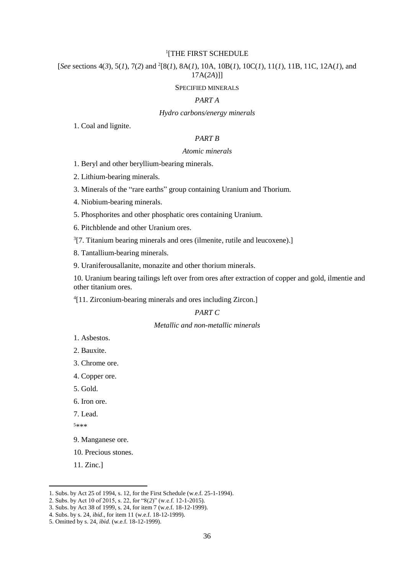### 1 [THE FIRST SCHEDULE

[*See* sections 4(*3*), 5(*1*), 7(*2*) and <sup>2</sup> [8(*1*), 8A(*1*), 10A, 10B(*1*), 10C(*1*), 11(*1*), 11B, 11C, 12A(*1*), and 17A(*2A*)]]

#### SPECIFIED MINERALS

# *PART A*

#### *Hydro carbons/energy minerals*

1. Coal and lignite.

# *PART B*

#### *Atomic minerals*

1. Beryl and other beryllium-bearing minerals.

2. Lithium-bearing minerals.

3. Minerals of the "rare earths" group containing Uranium and Thorium.

4. Niobium-bearing minerals.

5. Phosphorites and other phosphatic ores containing Uranium.

6. Pitchblende and other Uranium ores.

 $3$ [7. Titanium bearing minerals and ores (ilmenite, rutile and leucoxene).]

8. Tantallium-bearing minerals.

9. Uraniferousallanite, monazite and other thorium minerals.

10. Uranium bearing tailings left over from ores after extraction of copper and gold, ilmentie and other titanium ores.

4 [11. Zirconium-bearing minerals and ores including Zircon.]

# *PART C*

## *Metallic and non-metallic minerals*

- 1. Asbestos.
- 2. Bauxite.
- 3. Chrome ore.
- 4. Copper ore.
- 5. Gold.
- 6. Iron ore.
- 7. Lead.

<sup>5</sup>\*\*\*

- 9. Manganese ore.
- 10. Precious stones.

11. Zinc.]

<sup>1.</sup> Subs. by Act 25 of 1994, s. 12, for the First Schedule (w.e.f. 25-1-1994).

<sup>2.</sup> Subs. by Act 10 of 2015, s. 22, for "8(*2*)" (w.e.f. 12-1-2015).

<sup>3.</sup> Subs. by Act 38 of 1999, s. 24, for item 7 (w.e.f. 18-12-1999).

<sup>4.</sup> Subs. by s. 24, *ibid*., for item 11 (w.e.f. 18-12-1999).

<sup>5.</sup> Omitted by s. 24, *ibid*. (w.e.f. 18-12-1999).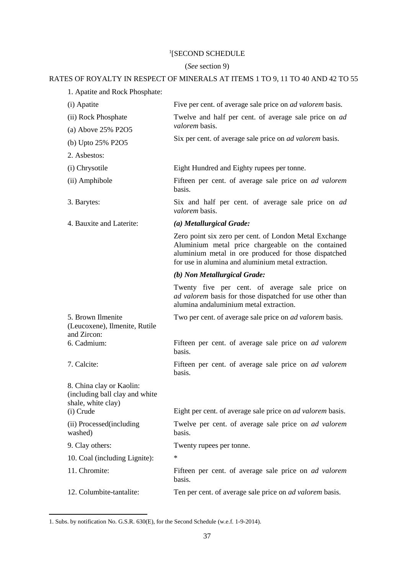# 1 [SECOND SCHEDULE

# (*See* section 9)

# RATES OF ROYALTY IN RESPECT OF MINERALS AT ITEMS 1 TO 9, 11 TO 40 AND 42 TO 55

| 1. Apatite and Rock Phosphate: |  |
|--------------------------------|--|
|--------------------------------|--|

| (i) Apatite                                                                                   | Five per cent. of average sale price on <i>ad valorem</i> basis.                                                                                                                                                          |
|-----------------------------------------------------------------------------------------------|---------------------------------------------------------------------------------------------------------------------------------------------------------------------------------------------------------------------------|
| (ii) Rock Phosphate<br>(a) Above 25% P2O5                                                     | Twelve and half per cent. of average sale price on <i>ad</i><br>valorem basis.                                                                                                                                            |
|                                                                                               | Six per cent. of average sale price on <i>ad valorem</i> basis.                                                                                                                                                           |
| (b) Upto 25% P2O5                                                                             |                                                                                                                                                                                                                           |
| 2. Asbestos:                                                                                  |                                                                                                                                                                                                                           |
| (i) Chrysotile                                                                                | Eight Hundred and Eighty rupees per tonne.                                                                                                                                                                                |
| (ii) Amphibole                                                                                | Fifteen per cent. of average sale price on <i>ad valorem</i><br>basis.                                                                                                                                                    |
| 3. Barytes:                                                                                   | Six and half per cent. of average sale price on ad<br>valorem basis.                                                                                                                                                      |
| 4. Bauxite and Laterite:                                                                      | (a) Metallurgical Grade:                                                                                                                                                                                                  |
|                                                                                               | Zero point six zero per cent. of London Metal Exchange<br>Aluminium metal price chargeable on the contained<br>aluminium metal in ore produced for those dispatched<br>for use in alumina and aluminium metal extraction. |
|                                                                                               | (b) Non Metallurgical Grade:                                                                                                                                                                                              |
|                                                                                               | Twenty five per cent. of average sale price on<br>ad valorem basis for those dispatched for use other than<br>alumina andaluminium metal extraction.                                                                      |
| 5. Brown Ilmenite<br>(Leucoxene), Ilmenite, Rutile<br>and Zircon:                             | Two per cent. of average sale price on ad valorem basis.                                                                                                                                                                  |
| 6. Cadmium:                                                                                   | Fifteen per cent. of average sale price on <i>ad valorem</i><br>basis.                                                                                                                                                    |
| 7. Calcite:                                                                                   | Fifteen per cent. of average sale price on <i>ad valorem</i><br>basis.                                                                                                                                                    |
| 8. China clay or Kaolin:<br>(including ball clay and white<br>shale, white clay)<br>(i) Crude | Eight per cent. of average sale price on <i>ad valorem</i> basis.                                                                                                                                                         |
| (ii) Processed(including                                                                      | Twelve per cent. of average sale price on <i>ad valorem</i>                                                                                                                                                               |
| washed)                                                                                       | basis.                                                                                                                                                                                                                    |
| 9. Clay others:                                                                               | Twenty rupees per tonne.                                                                                                                                                                                                  |
| 10. Coal (including Lignite):                                                                 | ∗                                                                                                                                                                                                                         |
| 11. Chromite:                                                                                 | Fifteen per cent. of average sale price on ad valorem<br>basis.                                                                                                                                                           |
| 12. Columbite-tantalite:                                                                      | Ten per cent. of average sale price on ad valorem basis.                                                                                                                                                                  |

<sup>1.</sup> Subs. by notification No. G.S.R. 630(E), for the Second Schedule (w.e.f. 1-9-2014).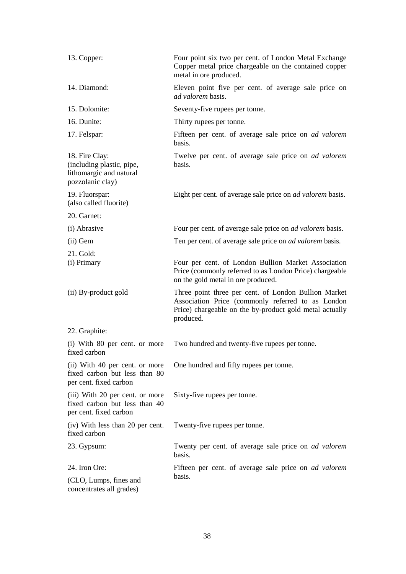| 13. Copper:                                                                                | Four point six two per cent. of London Metal Exchange<br>Copper metal price chargeable on the contained copper<br>metal in ore produced.                                          |
|--------------------------------------------------------------------------------------------|-----------------------------------------------------------------------------------------------------------------------------------------------------------------------------------|
| 14. Diamond:                                                                               | Eleven point five per cent. of average sale price on<br><i>ad valorem</i> basis.                                                                                                  |
| 15. Dolomite:                                                                              | Seventy-five rupees per tonne.                                                                                                                                                    |
| 16. Dunite:                                                                                | Thirty rupees per tonne.                                                                                                                                                          |
| 17. Felspar:                                                                               | Fifteen per cent. of average sale price on <i>ad valorem</i><br>basis.                                                                                                            |
| 18. Fire Clay:<br>(including plastic, pipe,<br>lithomargic and natural<br>pozzolanic clay) | Twelve per cent. of average sale price on ad valorem<br>basis.                                                                                                                    |
| 19. Fluorspar:<br>(also called fluorite)                                                   | Eight per cent. of average sale price on <i>ad valorem</i> basis.                                                                                                                 |
| 20. Garnet:                                                                                |                                                                                                                                                                                   |
| (i) Abrasive                                                                               | Four per cent. of average sale price on <i>ad valorem</i> basis.                                                                                                                  |
| (ii) Gem                                                                                   | Ten per cent. of average sale price on <i>ad valorem</i> basis.                                                                                                                   |
| 21. Gold:<br>(i) Primary                                                                   | Four per cent. of London Bullion Market Association<br>Price (commonly referred to as London Price) chargeable<br>on the gold metal in ore produced.                              |
| (ii) By-product gold                                                                       | Three point three per cent. of London Bullion Market<br>Association Price (commonly referred to as London<br>Price) chargeable on the by-product gold metal actually<br>produced. |
| 22. Graphite:                                                                              |                                                                                                                                                                                   |
| (i) With 80 per cent. or more<br>fixed carbon                                              | Two hundred and twenty-five rupees per tonne.                                                                                                                                     |
| (ii) With 40 per cent. or more<br>fixed carbon but less than 80<br>per cent. fixed carbon  | One hundred and fifty rupees per tonne.                                                                                                                                           |
| (iii) With 20 per cent. or more<br>fixed carbon but less than 40<br>per cent. fixed carbon | Sixty-five rupees per tonne.                                                                                                                                                      |
| (iv) With less than 20 per cent.<br>fixed carbon                                           | Twenty-five rupees per tonne.                                                                                                                                                     |
| 23. Gypsum:                                                                                | Twenty per cent. of average sale price on ad valorem<br>basis.                                                                                                                    |
| 24. Iron Ore:                                                                              | Fifteen per cent. of average sale price on <i>ad valorem</i>                                                                                                                      |
| (CLO, Lumps, fines and<br>concentrates all grades)                                         | basis.                                                                                                                                                                            |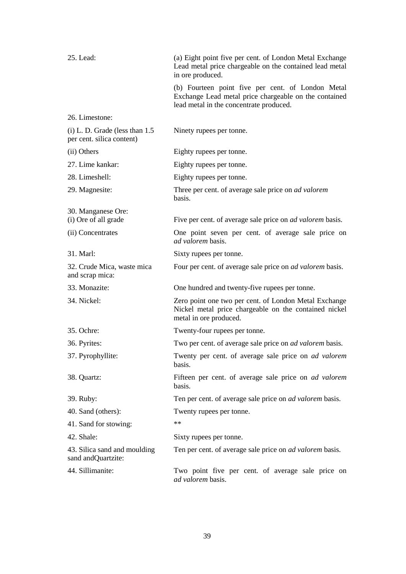| 25. Lead:                                                      | (a) Eight point five per cent. of London Metal Exchange<br>Lead metal price chargeable on the contained lead metal<br>in ore produced.                |
|----------------------------------------------------------------|-------------------------------------------------------------------------------------------------------------------------------------------------------|
|                                                                | (b) Fourteen point five per cent. of London Metal<br>Exchange Lead metal price chargeable on the contained<br>lead metal in the concentrate produced. |
| 26. Limestone:                                                 |                                                                                                                                                       |
| $(i)$ L. D. Grade (less than 1.5)<br>per cent. silica content) | Ninety rupees per tonne.                                                                                                                              |
| (ii) Others                                                    | Eighty rupees per tonne.                                                                                                                              |
| 27. Lime kankar:                                               | Eighty rupees per tonne.                                                                                                                              |
| 28. Limeshell:                                                 | Eighty rupees per tonne.                                                                                                                              |
| 29. Magnesite:                                                 | Three per cent. of average sale price on ad valorem<br>basis.                                                                                         |
| 30. Manganese Ore:                                             |                                                                                                                                                       |
| (i) Ore of all grade                                           | Five per cent. of average sale price on <i>ad valorem</i> basis.                                                                                      |
| (ii) Concentrates                                              | One point seven per cent. of average sale price on<br>ad valorem basis.                                                                               |
| 31. Marl:                                                      | Sixty rupees per tonne.                                                                                                                               |
| 32. Crude Mica, waste mica<br>and scrap mica:                  | Four per cent. of average sale price on <i>ad valorem</i> basis.                                                                                      |
| 33. Monazite:                                                  | One hundred and twenty-five rupees per tonne.                                                                                                         |
| 34. Nickel:                                                    | Zero point one two per cent. of London Metal Exchange<br>Nickel metal price chargeable on the contained nickel<br>metal in ore produced.              |
| 35. Ochre:                                                     | Twenty-four rupees per tonne.                                                                                                                         |
| 36. Pyrites:                                                   | Two per cent. of average sale price on <i>ad valorem</i> basis.                                                                                       |
| 37. Pyrophyllite:                                              | Twenty per cent. of average sale price on <i>ad valorem</i><br>basis.                                                                                 |
| 38. Quartz:                                                    | Fifteen per cent. of average sale price on <i>ad valorem</i><br>basis.                                                                                |
| 39. Ruby:                                                      | Ten per cent. of average sale price on <i>ad valorem</i> basis.                                                                                       |
| 40. Sand (others):                                             | Twenty rupees per tonne.                                                                                                                              |
| 41. Sand for stowing:                                          | $\ast\ast$                                                                                                                                            |
| 42. Shale:                                                     | Sixty rupees per tonne.                                                                                                                               |
| 43. Silica sand and moulding<br>sand and Quartzite:            | Ten per cent. of average sale price on <i>ad valorem</i> basis.                                                                                       |
| 44. Sillimanite:                                               | Two point five per cent. of average sale price on<br>ad valorem basis.                                                                                |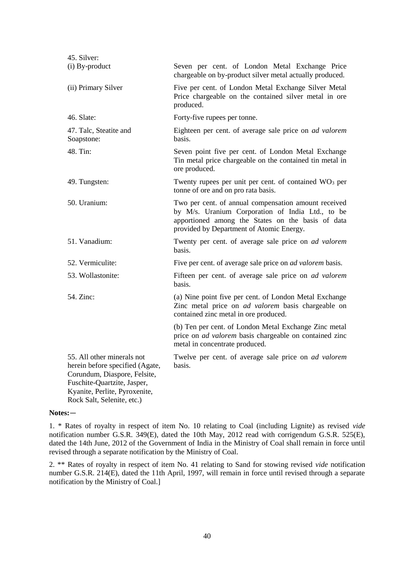| 45. Silver:                                                                                                                                                                                 |                                                                                                                                                                                                           |
|---------------------------------------------------------------------------------------------------------------------------------------------------------------------------------------------|-----------------------------------------------------------------------------------------------------------------------------------------------------------------------------------------------------------|
| (i) By-product                                                                                                                                                                              | Seven per cent. of London Metal Exchange Price<br>chargeable on by-product silver metal actually produced.                                                                                                |
| (ii) Primary Silver                                                                                                                                                                         | Five per cent. of London Metal Exchange Silver Metal<br>Price chargeable on the contained silver metal in ore<br>produced.                                                                                |
| 46. Slate:                                                                                                                                                                                  | Forty-five rupees per tonne.                                                                                                                                                                              |
| 47. Talc, Steatite and<br>Soapstone:                                                                                                                                                        | Eighteen per cent. of average sale price on <i>ad valorem</i><br>basis.                                                                                                                                   |
| 48. Tin:                                                                                                                                                                                    | Seven point five per cent. of London Metal Exchange<br>Tin metal price chargeable on the contained tin metal in<br>ore produced.                                                                          |
| 49. Tungsten:                                                                                                                                                                               | Twenty rupees per unit per cent. of contained $WO3$ per<br>tonne of ore and on pro rata basis.                                                                                                            |
| 50. Uranium:                                                                                                                                                                                | Two per cent. of annual compensation amount received<br>by M/s. Uranium Corporation of India Ltd., to be<br>apportioned among the States on the basis of data<br>provided by Department of Atomic Energy. |
| 51. Vanadium:                                                                                                                                                                               | Twenty per cent. of average sale price on ad valorem<br>basis.                                                                                                                                            |
| 52. Vermiculite:                                                                                                                                                                            | Five per cent. of average sale price on <i>ad valorem</i> basis.                                                                                                                                          |
| 53. Wollastonite:                                                                                                                                                                           | Fifteen per cent. of average sale price on ad valorem<br>basis.                                                                                                                                           |
| 54. Zinc:                                                                                                                                                                                   | (a) Nine point five per cent. of London Metal Exchange<br>Zinc metal price on ad valorem basis chargeable on<br>contained zinc metal in ore produced.                                                     |
|                                                                                                                                                                                             | (b) Ten per cent. of London Metal Exchange Zinc metal<br>price on <i>ad valorem</i> basis chargeable on contained zinc<br>metal in concentrate produced.                                                  |
| 55. All other minerals not<br>herein before specified (Agate,<br>Corundum, Diaspore, Felsite,<br>Fuschite-Quartzite, Jasper,<br>Kyanite, Perlite, Pyroxenite,<br>Rock Salt, Selenite, etc.) | Twelve per cent. of average sale price on <i>ad valorem</i><br>basis.                                                                                                                                     |

### **Notes:**―

1. \* Rates of royalty in respect of item No. 10 relating to Coal (including Lignite) as revised *vide* notification number G.S.R. 349(E), dated the 10th May, 2012 read with corrigendum G.S.R. 525(E), dated the 14th June, 2012 of the Government of India in the Ministry of Coal shall remain in force until revised through a separate notification by the Ministry of Coal.

2. \*\* Rates of royalty in respect of item No. 41 relating to Sand for stowing revised *vide* notification number G.S.R. 214(E), dated the 11th April, 1997, will remain in force until revised through a separate notification by the Ministry of Coal.]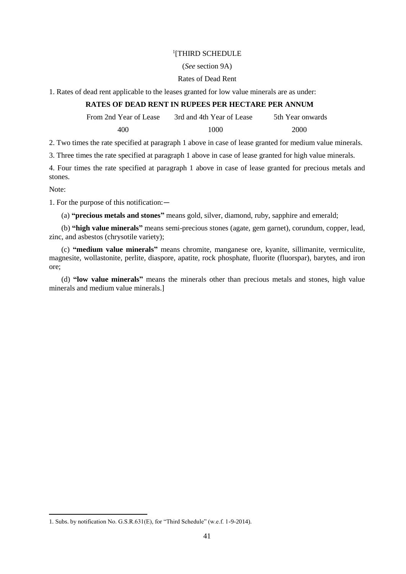# 1 [THIRD SCHEDULE

# (*See* section 9A)

# Rates of Dead Rent

1. Rates of dead rent applicable to the leases granted for low value minerals are as under:

# **RATES OF DEAD RENT IN RUPEES PER HECTARE PER ANNUM**

From 2nd Year of Lease 3rd and 4th Year of Lease 5th Year onwards

400 1000 1000 2000

2. Two times the rate specified at paragraph 1 above in case of lease granted for medium value minerals.

3. Three times the rate specified at paragraph 1 above in case of lease granted for high value minerals.

4. Four times the rate specified at paragraph 1 above in case of lease granted for precious metals and stones.

Note:

1

1. For the purpose of this notification:―

(a) **"precious metals and stones"** means gold, silver, diamond, ruby, sapphire and emerald;

(b) **"high value minerals"** means semi-precious stones (agate, gem garnet), corundum, copper, lead, zinc, and asbestos (chrysotile variety);

(c) **"medium value minerals"** means chromite, manganese ore, kyanite, sillimanite, vermiculite, magnesite, wollastonite, perlite, diaspore, apatite, rock phosphate, fluorite (fluorspar), barytes, and iron ore;

(d) **"low value minerals"** means the minerals other than precious metals and stones, high value minerals and medium value minerals.]

<sup>1.</sup> Subs. by notification No. G.S.R.631(E), for "Third Schedule" (w.e.f. 1-9-2014).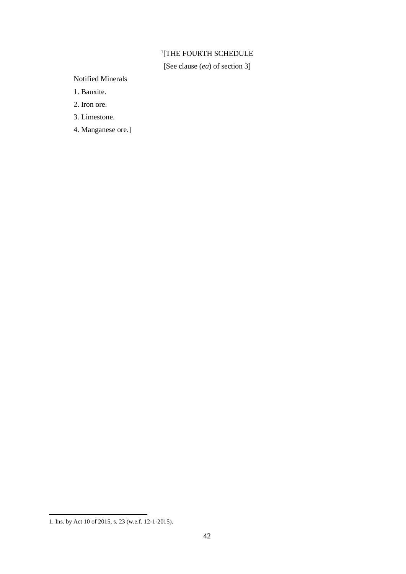# 1 [THE FOURTH SCHEDULE

[See clause (*ea*) of section 3]

Notified Minerals

1. Bauxite.

2. Iron ore.

3. Limestone.

4. Manganese ore.]

<sup>1.</sup> Ins. by Act 10 of 2015, s. 23 (w.e.f. 12-1-2015).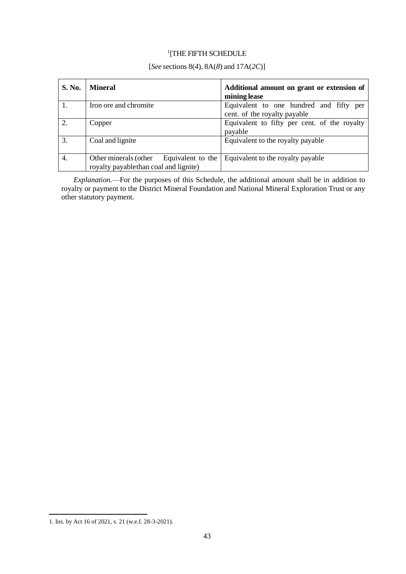# 1 [THE FIFTH SCHEDULE

# [*See* sections 8(*4*), 8A(*8*) and 17A(*2C*)]

| <b>S. No.</b> | <b>Mineral</b>                                                                      | Additional amount on grant or extension of<br>mining lease              |
|---------------|-------------------------------------------------------------------------------------|-------------------------------------------------------------------------|
|               | Iron ore and chromite                                                               | Equivalent to one hundred and fifty per<br>cent. of the royalty payable |
| 2.            | Copper                                                                              | Equivalent to fifty per cent. of the royalty<br>payable                 |
| 3.            | Coal and lignite                                                                    | Equivalent to the royalty payable                                       |
| 4.            | Other minerals (other<br>Equivalent to the<br>royalty payablethan coal and lignite) | Equivalent to the royalty payable                                       |

*Explanation.*—For the purposes of this Schedule, the additional amount shall be in addition to royalty or payment to the District Mineral Foundation and National Mineral Exploration Trust or any other statutory payment.

<sup>1.</sup> Ins. by Act 16 of 2021, s. 21 (w.e.f. 28-3-2021).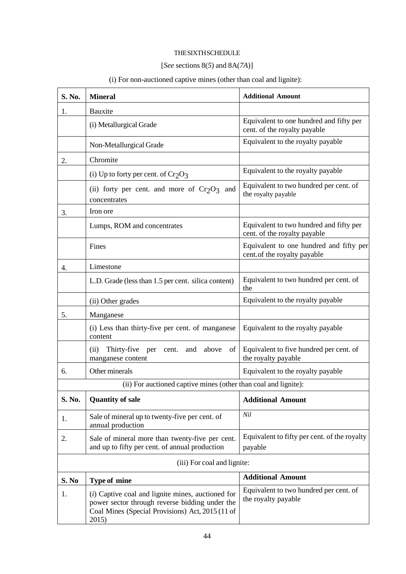# THESIXTHSCHEDULE

# [*See* sections 8(*5*) and 8A(*7A*)]

| S. No. | <b>Mineral</b>                                                                                                                                                     | <b>Additional Amount</b>                                                |
|--------|--------------------------------------------------------------------------------------------------------------------------------------------------------------------|-------------------------------------------------------------------------|
| 1.     | Bauxite                                                                                                                                                            |                                                                         |
|        | (i) Metallurgical Grade                                                                                                                                            | Equivalent to one hundred and fifty per<br>cent. of the royalty payable |
|        | Non-Metallurgical Grade                                                                                                                                            | Equivalent to the royalty payable                                       |
| 2.     | Chromite                                                                                                                                                           |                                                                         |
|        | (i) Up to forty per cent. of $Cr_2O_3$                                                                                                                             | Equivalent to the royalty payable                                       |
|        | (ii) forty per cent. and more of $Cr_2O_3$ and<br>concentrates                                                                                                     | Equivalent to two hundred per cent. of<br>the royalty payable           |
| 3.     | Iron ore                                                                                                                                                           |                                                                         |
|        | Lumps, ROM and concentrates                                                                                                                                        | Equivalent to two hundred and fifty per<br>cent. of the royalty payable |
|        | Fines                                                                                                                                                              | Equivalent to one hundred and fifty per<br>cent.of the royalty payable  |
| 4.     | Limestone                                                                                                                                                          |                                                                         |
|        | L.D. Grade (less than 1.5 per cent. silica content)                                                                                                                | Equivalent to two hundred per cent. of<br>the                           |
|        | (ii) Other grades                                                                                                                                                  | Equivalent to the royalty payable                                       |
| 5.     | Manganese                                                                                                                                                          |                                                                         |
|        | (i) Less than thirty-five per cent. of manganese<br>content                                                                                                        | Equivalent to the royalty payable                                       |
|        | above<br>(ii)<br>Thirty-five<br>cent. and<br>per<br>of<br>manganese content                                                                                        | Equivalent to five hundred per cent. of<br>the royalty payable          |
| 6.     | Other minerals                                                                                                                                                     | Equivalent to the royalty payable                                       |
|        | (ii) For auctioned captive mines (other than coal and lignite):                                                                                                    |                                                                         |
| S. No. | <b>Quantity of sale</b>                                                                                                                                            | <b>Additional Amount</b>                                                |
| 1.     | Sale of mineral up to twenty-five per cent. of<br>annual production                                                                                                | Nil                                                                     |
| 2.     | Sale of mineral more than twenty-five per cent.<br>and up to fifty per cent. of annual production                                                                  | Equivalent to fifty per cent. of the royalty<br>payable                 |
|        | (iii) For coal and lignite:                                                                                                                                        |                                                                         |
| S. No  | <b>Type of mine</b>                                                                                                                                                | <b>Additional Amount</b>                                                |
| 1.     | $(i)$ Captive coal and lignite mines, auctioned for<br>power sector through reverse bidding under the<br>Coal Mines (Special Provisions) Act, 2015 (11 of<br>2015) | Equivalent to two hundred per cent. of<br>the royalty payable           |

# (i) For non-auctioned captive mines (other than coal and lignite):